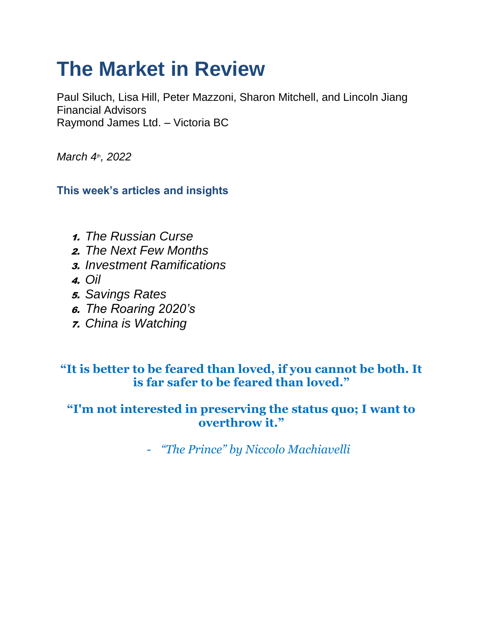# **The Market in Review**

Paul Siluch, Lisa Hill, Peter Mazzoni, Sharon Mitchell, and Lincoln Jiang Financial Advisors Raymond James Ltd. – Victoria BC

*March 4th, 2022*

**This week's articles and insights**

- 1. *The Russian Curse*
- 2. *The Next Few Months*
- 3. *Investment Ramifications*
- 4. *Oil*
- 5. *Savings Rates*
- 6. *The Roaring 2020's*
- 7. *China is Watching*

## **"It is better to be feared than loved, if you cannot be both. It is far safer to be feared than loved."**

## **"I'm not interested in preserving the status quo; I want to overthrow it."**

- *"The Prince" by Niccolo Machiavelli*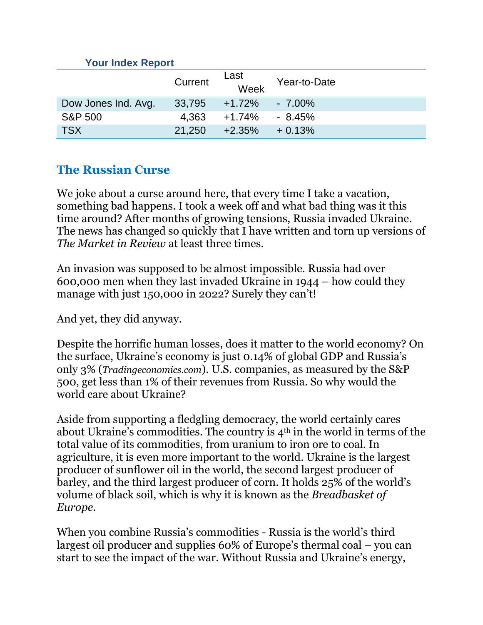#### **Your Index Report**

|                     | Current | Last<br>Week | Year-to-Date |
|---------------------|---------|--------------|--------------|
| Dow Jones Ind. Avg. | 33,795  | $+1.72\%$    | $-7.00\%$    |
| <b>S&amp;P 500</b>  | 4.363   | +1.74%       | - 8.45%      |
| <b>TSX</b>          | 21.250  | $+2.35%$     | $+0.13%$     |

## **The Russian Curse**

We joke about a curse around here, that every time I take a vacation, something bad happens. I took a week off and what bad thing was it this time around? After months of growing tensions, Russia invaded Ukraine. The news has changed so quickly that I have written and torn up versions of *The Market in Review* at least three times.

An invasion was supposed to be almost impossible. Russia had over 600,000 men when they last invaded Ukraine in 1944 – how could they manage with just 150,000 in 2022? Surely they can't!

And yet, they did anyway.

Despite the horrific human losses, does it matter to the world economy? On the surface, Ukraine's economy is just 0.14% of global GDP and Russia's only 3% (*Tradingeconomics.com*). U.S. companies, as measured by the S&P 500, get less than 1% of their revenues from Russia. So why would the world care about Ukraine?

Aside from supporting a fledgling democracy, the world certainly cares about Ukraine's commodities. The country is 4th in the world in terms of the total value of its commodities, from uranium to iron ore to coal. In agriculture, it is even more important to the world. Ukraine is the largest producer of sunflower oil in the world, the second largest producer of barley, and the third largest producer of corn. It holds 25% of the world's volume of black soil, which is why it is known as the *Breadbasket of Europe*.

When you combine Russia's commodities - Russia is the world's third largest oil producer and supplies 60% of Europe's thermal coal – you can start to see the impact of the war. Without Russia and Ukraine's energy,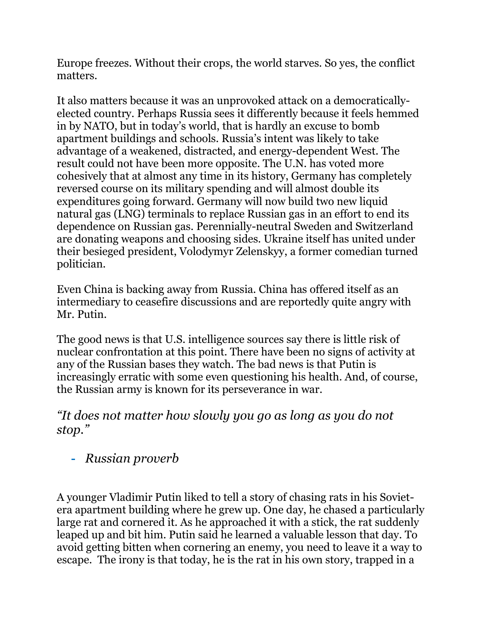Europe freezes. Without their crops, the world starves. So yes, the conflict matters.

It also matters because it was an unprovoked attack on a democraticallyelected country. Perhaps Russia sees it differently because it feels hemmed in by NATO, but in today's world, that is hardly an excuse to bomb apartment buildings and schools. Russia's intent was likely to take advantage of a weakened, distracted, and energy-dependent West. The result could not have been more opposite. The U.N. has voted more cohesively that at almost any time in its history, Germany has completely reversed course on its military spending and will almost double its expenditures going forward. Germany will now build two new liquid natural gas (LNG) terminals to replace Russian gas in an effort to end its dependence on Russian gas. Perennially-neutral Sweden and Switzerland are donating weapons and choosing sides. Ukraine itself has united under their besieged president, Volodymyr Zelenskyy, a former comedian turned politician.

Even China is backing away from Russia. China has offered itself as an intermediary to ceasefire discussions and are reportedly quite angry with Mr. Putin.

The good news is that U.S. intelligence sources say there is little risk of nuclear confrontation at this point. There have been no signs of activity at any of the Russian bases they watch. The bad news is that Putin is increasingly erratic with some even questioning his health. And, of course, the Russian army is known for its perseverance in war.

## *"It does not matter how slowly you go as long as you do not stop."*

**-** *Russian proverb*

A younger Vladimir Putin liked to tell a story of chasing rats in his Sovietera apartment building where he grew up. One day, he chased a particularly large rat and cornered it. As he approached it with a stick, the rat suddenly leaped up and bit him. Putin said he learned a valuable lesson that day. To avoid getting bitten when cornering an enemy, you need to leave it a way to escape. The irony is that today, he is the rat in his own story, trapped in a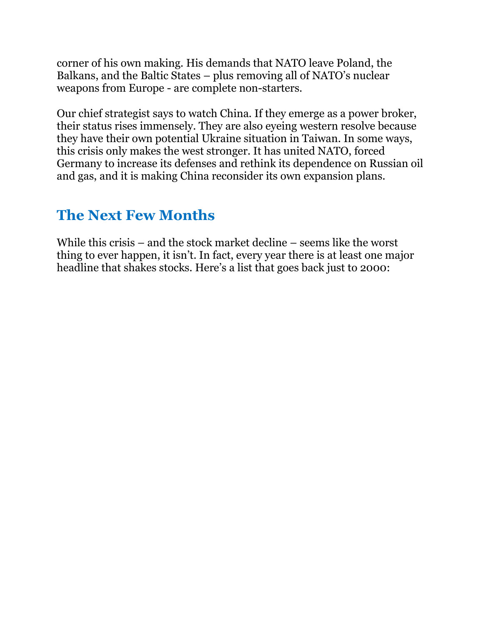corner of his own making. His demands that NATO leave Poland, the Balkans, and the Baltic States – plus removing all of NATO's nuclear weapons from Europe - are complete non-starters.

Our chief strategist says to watch China. If they emerge as a power broker, their status rises immensely. They are also eyeing western resolve because they have their own potential Ukraine situation in Taiwan. In some ways, this crisis only makes the west stronger. It has united NATO, forced Germany to increase its defenses and rethink its dependence on Russian oil and gas, and it is making China reconsider its own expansion plans.

# **The Next Few Months**

While this crisis – and the stock market decline – seems like the worst thing to ever happen, it isn't. In fact, every year there is at least one major headline that shakes stocks. Here's a list that goes back just to 2000: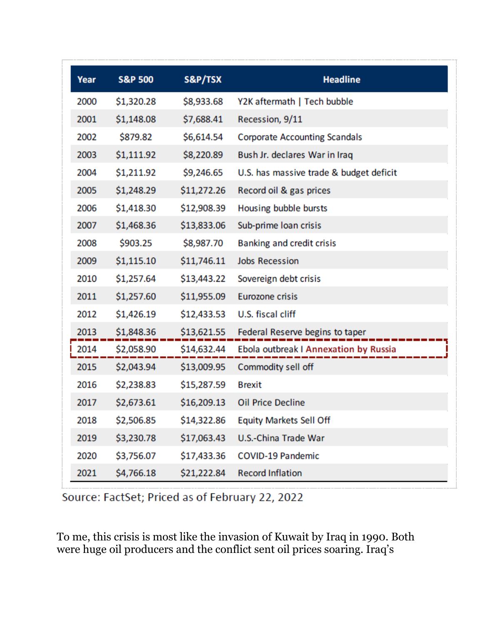| Year | <b>S&amp;P 500</b> | S&P/TSX     | <b>Headline</b>                         |
|------|--------------------|-------------|-----------------------------------------|
| 2000 | \$1,320.28         | \$8,933.68  | Y2K aftermath   Tech bubble             |
| 2001 | \$1,148.08         | \$7,688.41  | Recession, 9/11                         |
| 2002 | \$879.82           | \$6,614.54  | <b>Corporate Accounting Scandals</b>    |
| 2003 | \$1,111.92         | \$8,220.89  | Bush Jr. declares War in Iraq           |
| 2004 | \$1,211.92         | \$9,246.65  | U.S. has massive trade & budget deficit |
| 2005 | \$1,248.29         | \$11,272.26 | Record oil & gas prices                 |
| 2006 | \$1,418.30         | \$12,908.39 | Housing bubble bursts                   |
| 2007 | \$1,468.36         | \$13,833.06 | Sub-prime loan crisis                   |
| 2008 | \$903.25           | \$8,987.70  | Banking and credit crisis               |
| 2009 | \$1,115.10         | \$11,746.11 | <b>Jobs Recession</b>                   |
| 2010 | \$1,257.64         | \$13,443.22 | Sovereign debt crisis                   |
| 2011 | \$1,257.60         | \$11,955.09 | <b>Eurozone crisis</b>                  |
| 2012 | \$1,426.19         | \$12,433.53 | U.S. fiscal cliff                       |
| 2013 | \$1,848.36         | \$13,621.55 | Federal Reserve begins to taper         |
| 2014 | \$2,058.90         | \$14,632.44 | Ebola outbreak I Annexation by Russia   |
| 2015 | \$2,043.94         | \$13,009.95 | Commodity sell off                      |
| 2016 | \$2,238.83         | \$15,287.59 | <b>Brexit</b>                           |
| 2017 | \$2,673.61         | \$16,209.13 | <b>Oil Price Decline</b>                |
| 2018 | \$2,506.85         | \$14,322.86 | <b>Equity Markets Sell Off</b>          |
| 2019 | \$3,230.78         | \$17,063.43 | U.S.-China Trade War                    |
| 2020 | \$3,756.07         | \$17,433.36 | <b>COVID-19 Pandemic</b>                |
| 2021 | \$4,766.18         | \$21,222.84 | <b>Record Inflation</b>                 |

Source: FactSet; Priced as of February 22, 2022

To me, this crisis is most like the invasion of Kuwait by Iraq in 1990. Both were huge oil producers and the conflict sent oil prices soaring. Iraq's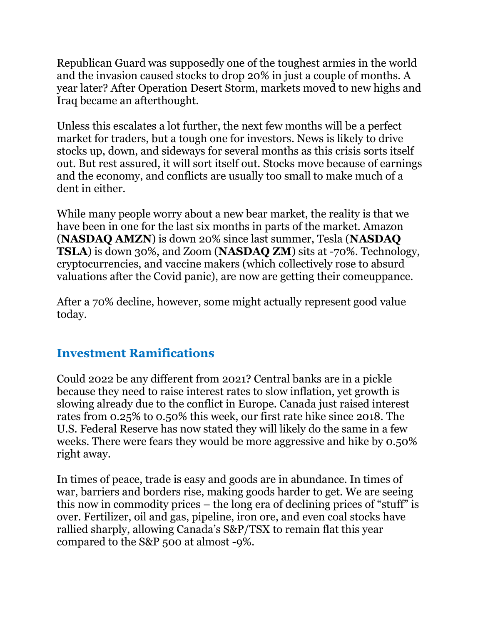Republican Guard was supposedly one of the toughest armies in the world and the invasion caused stocks to drop 20% in just a couple of months. A year later? After Operation Desert Storm, markets moved to new highs and Iraq became an afterthought.

Unless this escalates a lot further, the next few months will be a perfect market for traders, but a tough one for investors. News is likely to drive stocks up, down, and sideways for several months as this crisis sorts itself out. But rest assured, it will sort itself out. Stocks move because of earnings and the economy, and conflicts are usually too small to make much of a dent in either.

While many people worry about a new bear market, the reality is that we have been in one for the last six months in parts of the market. Amazon (**NASDAQ AMZN**) is down 20% since last summer, Tesla (**NASDAQ TSLA**) is down 30%, and Zoom (**NASDAQ ZM**) sits at -70%. Technology, cryptocurrencies, and vaccine makers (which collectively rose to absurd valuations after the Covid panic), are now are getting their comeuppance.

After a 70% decline, however, some might actually represent good value today.

## **Investment Ramifications**

Could 2022 be any different from 2021? Central banks are in a pickle because they need to raise interest rates to slow inflation, yet growth is slowing already due to the conflict in Europe. Canada just raised interest rates from 0.25% to 0.50% this week, our first rate hike since 2018. The U.S. Federal Reserve has now stated they will likely do the same in a few weeks. There were fears they would be more aggressive and hike by 0.50% right away.

In times of peace, trade is easy and goods are in abundance. In times of war, barriers and borders rise, making goods harder to get. We are seeing this now in commodity prices – the long era of declining prices of "stuff" is over. Fertilizer, oil and gas, pipeline, iron ore, and even coal stocks have rallied sharply, allowing Canada's S&P/TSX to remain flat this year compared to the S&P 500 at almost -9%.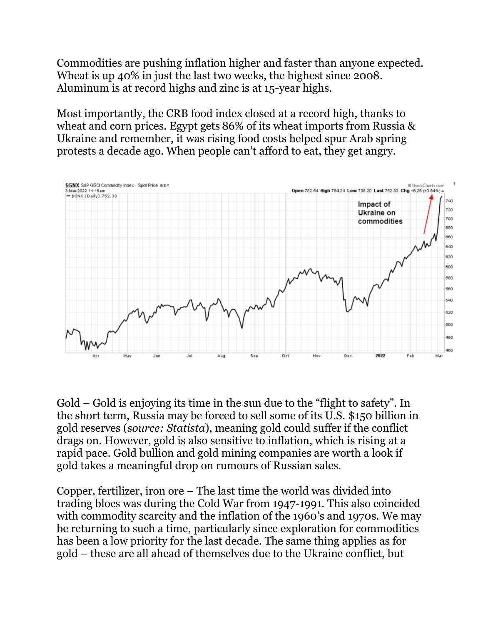Commodities are pushing inflation higher and faster than anyone expected. Wheat is up 40% in just the last two weeks, the highest since 2008. Aluminum is at record highs and zinc is at 15-year highs.

Most importantly, the CRB food index closed at a record high, thanks to wheat and corn prices. Egypt gets 86% of its wheat imports from Russia & Ukraine and remember, it was rising food costs helped spur Arab spring protests a decade ago. When people can't afford to eat, they get angry.



Gold – Gold is enjoying its time in the sun due to the "flight to safety". In the short term, Russia may be forced to sell some of its U.S. \$150 billion in gold reserves (*source: Statista*), meaning gold could suffer if the conflict drags on. However, gold is also sensitive to inflation, which is rising at a rapid pace. Gold bullion and gold mining companies are worth a look if gold takes a meaningful drop on rumours of Russian sales.

Copper, fertilizer, iron ore – The last time the world was divided into trading blocs was during the Cold War from 1947-1991. This also coincided with commodity scarcity and the inflation of the 1960's and 1970s. We may be returning to such a time, particularly since exploration for commodities has been a low priority for the last decade. The same thing applies as for gold – these are all ahead of themselves due to the Ukraine conflict, but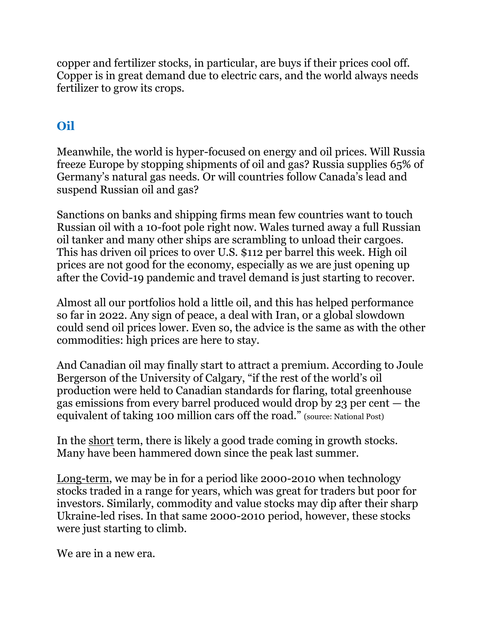copper and fertilizer stocks, in particular, are buys if their prices cool off. Copper is in great demand due to electric cars, and the world always needs fertilizer to grow its crops.

# **Oil**

Meanwhile, the world is hyper-focused on energy and oil prices. Will Russia freeze Europe by stopping shipments of oil and gas? Russia supplies 65% of Germany's natural gas needs. Or will countries follow Canada's lead and suspend Russian oil and gas?

Sanctions on banks and shipping firms mean few countries want to touch Russian oil with a 10-foot pole right now. Wales turned away a full Russian oil tanker and many other ships are scrambling to unload their cargoes. This has driven oil prices to over U.S. \$112 per barrel this week. High oil prices are not good for the economy, especially as we are just opening up after the Covid-19 pandemic and travel demand is just starting to recover.

Almost all our portfolios hold a little oil, and this has helped performance so far in 2022. Any sign of peace, a deal with Iran, or a global slowdown could send oil prices lower. Even so, the advice is the same as with the other commodities: high prices are here to stay.

And Canadian oil may finally start to attract a premium. According to Joule Bergerson of the University of Calgary, "if the rest of the world's oil production were held to Canadian standards for flaring, total greenhouse gas emissions from every barrel produced would drop by 23 per cent — the equivalent of taking 100 million cars off the road." (source: National Post)

In the short term, there is likely a good trade coming in growth stocks. Many have been hammered down since the peak last summer.

Long-term, we may be in for a period like 2000-2010 when technology stocks traded in a range for years, which was great for traders but poor for investors. Similarly, commodity and value stocks may dip after their sharp Ukraine-led rises. In that same 2000-2010 period, however, these stocks were just starting to climb.

We are in a new era.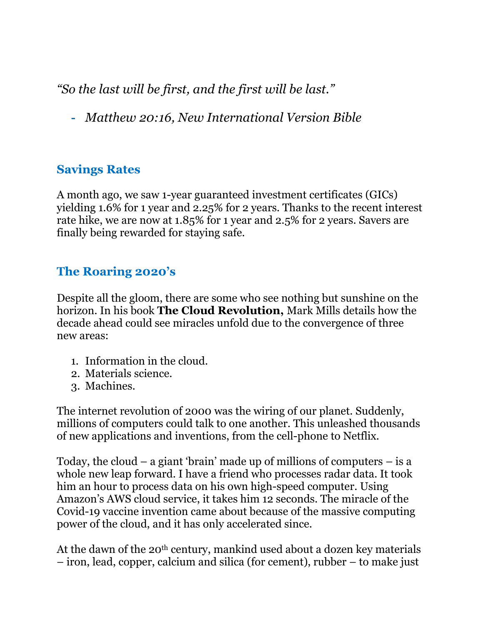*"So the last will be first, and the first will be last."*

**-** *Matthew 20:16, New International Version Bible*

## **Savings Rates**

A month ago, we saw 1-year guaranteed investment certificates (GICs) yielding 1.6% for 1 year and 2.25% for 2 years. Thanks to the recent interest rate hike, we are now at 1.85% for 1 year and 2.5% for 2 years. Savers are finally being rewarded for staying safe.

## **The Roaring 2020's**

Despite all the gloom, there are some who see nothing but sunshine on the horizon. In his book **The Cloud Revolution,** Mark Mills details how the decade ahead could see miracles unfold due to the convergence of three new areas:

- 1. Information in the cloud.
- 2. Materials science.
- 3. Machines.

The internet revolution of 2000 was the wiring of our planet. Suddenly, millions of computers could talk to one another. This unleashed thousands of new applications and inventions, from the cell-phone to Netflix.

Today, the cloud – a giant 'brain' made up of millions of computers – is a whole new leap forward. I have a friend who processes radar data. It took him an hour to process data on his own high-speed computer. Using Amazon's AWS cloud service, it takes him 12 seconds. The miracle of the Covid-19 vaccine invention came about because of the massive computing power of the cloud, and it has only accelerated since.

At the dawn of the 20<sup>th</sup> century, mankind used about a dozen key materials – iron, lead, copper, calcium and silica (for cement), rubber – to make just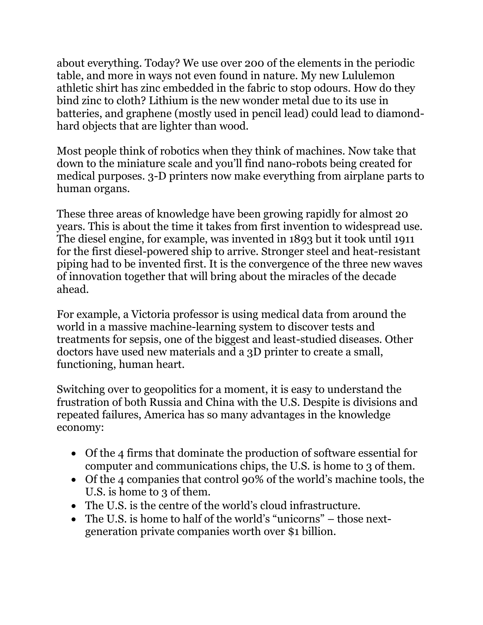about everything. Today? We use over 200 of the elements in the periodic table, and more in ways not even found in nature. My new Lululemon athletic shirt has zinc embedded in the fabric to stop odours. How do they bind zinc to cloth? Lithium is the new wonder metal due to its use in batteries, and graphene (mostly used in pencil lead) could lead to diamondhard objects that are lighter than wood.

Most people think of robotics when they think of machines. Now take that down to the miniature scale and you'll find nano-robots being created for medical purposes. 3-D printers now make everything from airplane parts to human organs.

These three areas of knowledge have been growing rapidly for almost 20 years. This is about the time it takes from first invention to widespread use. The diesel engine, for example, was invented in 1893 but it took until 1911 for the first diesel-powered ship to arrive. Stronger steel and heat-resistant piping had to be invented first. It is the convergence of the three new waves of innovation together that will bring about the miracles of the decade ahead.

For example, a Victoria professor is using medical data from around the world in a massive machine-learning system to discover tests and treatments for sepsis, one of the biggest and least-studied diseases. Other doctors have used new materials and a 3D printer to create a small, functioning, human heart.

Switching over to geopolitics for a moment, it is easy to understand the frustration of both Russia and China with the U.S. Despite is divisions and repeated failures, America has so many advantages in the knowledge economy:

- Of the 4 firms that dominate the production of software essential for computer and communications chips, the U.S. is home to 3 of them.
- Of the 4 companies that control 90% of the world's machine tools, the U.S. is home to 3 of them.
- The U.S. is the centre of the world's cloud infrastructure.
- The U.S. is home to half of the world's "unicorns" those nextgeneration private companies worth over \$1 billion.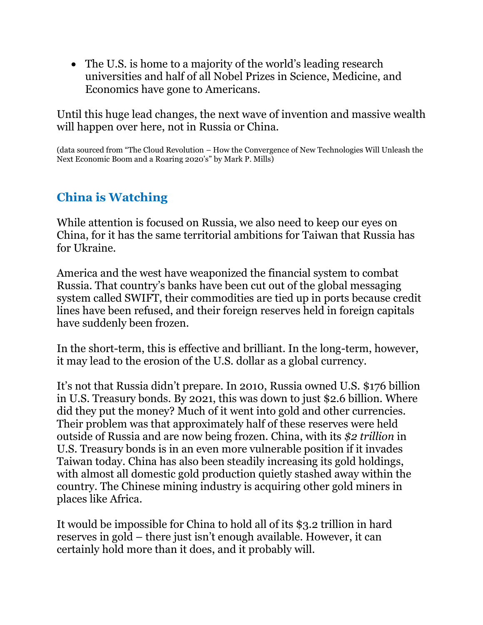• The U.S. is home to a majority of the world's leading research universities and half of all Nobel Prizes in Science, Medicine, and Economics have gone to Americans.

Until this huge lead changes, the next wave of invention and massive wealth will happen over here, not in Russia or China.

(data sourced from "The Cloud Revolution – How the Convergence of New Technologies Will Unleash the Next Economic Boom and a Roaring 2020's" by Mark P. Mills)

## **China is Watching**

While attention is focused on Russia, we also need to keep our eyes on China, for it has the same territorial ambitions for Taiwan that Russia has for Ukraine.

America and the west have weaponized the financial system to combat Russia. That country's banks have been cut out of the global messaging system called SWIFT, their commodities are tied up in ports because credit lines have been refused, and their foreign reserves held in foreign capitals have suddenly been frozen.

In the short-term, this is effective and brilliant. In the long-term, however, it may lead to the erosion of the U.S. dollar as a global currency.

It's not that Russia didn't prepare. In 2010, Russia owned U.S. \$176 billion in U.S. Treasury bonds. By 2021, this was down to just \$2.6 billion. Where did they put the money? Much of it went into gold and other currencies. Their problem was that approximately half of these reserves were held outside of Russia and are now being frozen. China, with its *\$2 trillion* in U.S. Treasury bonds is in an even more vulnerable position if it invades Taiwan today. China has also been steadily increasing its gold holdings, with almost all domestic gold production quietly stashed away within the country. The Chinese mining industry is acquiring other gold miners in places like Africa.

It would be impossible for China to hold all of its \$3.2 trillion in hard reserves in gold – there just isn't enough available. However, it can certainly hold more than it does, and it probably will.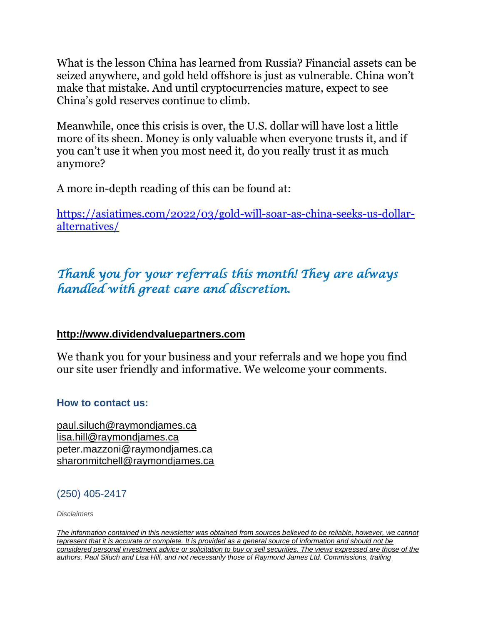What is the lesson China has learned from Russia? Financial assets can be seized anywhere, and gold held offshore is just as vulnerable. China won't make that mistake. And until cryptocurrencies mature, expect to see China's gold reserves continue to climb.

Meanwhile, once this crisis is over, the U.S. dollar will have lost a little more of its sheen. Money is only valuable when everyone trusts it, and if you can't use it when you most need it, do you really trust it as much anymore?

A more in-depth reading of this can be found at:

[https://asiatimes.com/2022/03/gold-will-soar-as-china-seeks-us-dollar](https://asiatimes.com/2022/03/gold-will-soar-as-china-seeks-us-dollar-alternatives/)[alternatives/](https://asiatimes.com/2022/03/gold-will-soar-as-china-seeks-us-dollar-alternatives/)

# *Thank you for your referrals this month! They are always handled with great care and discretion.*

#### **[http://www.dividendvaluepartners.com](https://na01.safelinks.protection.outlook.com/?url=https%3A%2F%2Furldefense.proofpoint.com%2Fv2%2Furl%3Fu%3Dhttps-3A__na01.safelinks.protection.outlook.com_-3Furl-3Dhttps-253A-252F-252Furldefense.proofpoint.com-252Fv2-252Furl-253Fu-253Dhttps-2D3A-5F-5Fnam11.safelinks.protection.outlook.com-5F-2D3Furl-2D3Dhttps-2D253A-2D252F-2D252Furldefense.proofpoint.com-2D252Fv2-2D252Furl-2D253Fu-2D253Dhttp-2D2D3A-2D5F-2D5Fwww.dividendvaluepartners.com-2D2526d-2D253DDwMFAw-2D2526c-2D253DK3dQCUGiI1B95NJ6cl3GoyhMW2dvBOfimZA-2D2D83UXll0-2D2526r-2D253D-2D5F6MBBSGYsFznIBwslhTiqBKEz4pHUCTd-2D5F9tbh-2D5FEpUMY-2D2526m-2D253DscBAtuMDuWZwK1IVr5YXjdB6aRS-2D2DfaGHAMq3jOn6sJU-2D2526s-2D253DenZqe4ZgcjH-2D5F33x5dT-2D2DvZq9A37d4AhNkXvjc6AbmYww-2D2526e-2D253D-2D26data-2D3D02-2D257C01-2D257C-2D257Cc172461ecbee4482512908d85e8192cf-2D257C84df9e7fe9f640afb435aaaaaaaaaaaa-2D257C1-2D257C0-2D257C637363258183615686-2D26sdata-2D3DewMvepveEmLgP7SL0jTlvLtATqW9IhbJ2C3UL0Em04c-2D253D-2D26reserved-2D3D0-2526d-253DDwMF-2Dg-2526c-253DK3dQCUGiI1B95NJ6cl3GoyhMW2dvBOfimZA-2D83UXll0-2526r-253D-5F6MBBSGYsFznIBwslhTiqBKEz4pHUCTd-5F9tbh-5FEpUMY-2526m-253D7qOaEnVxLdGuCP74qXGTNk9xkBSFm8R3CYYmRfTv9PQ-2526s-253DW8OEBAbaLee5suYwpNsPIikduscCx0SIuOWzAWRhAvc-2526e-253D-26data-3D04-257C01-257C-257Cd7befaa6204e4970b3c708d940d9c59b-257C84df9e7fe9f640afb435aaaaaaaaaaaa-257C1-257C0-257C637612126570747664-257CUnknown-257CTWFpbGZsb3d8eyJWIjoiMC4wLjAwMDAiLCJQIjoiV2luMzIiLCJBTiI6Ik1haWwiLCJXVCI6Mn0-253D-257C1000-26sdata-3DXHDuRL9htcGHCyG2hM-252BdTEOf1Bh8t-252BJ4FZMnSIBO5ik-253D-26reserved-3D0%26d%3DDwMGaQ%26c%3D6lBq1l7u-nYp55J7Pl8O6Ib5YT4g76ov0zCpXQrgS5M%26r%3DTmDOHaoWW3RetfvnGoPae_UczKZXXQgvJPe_P66GVYI%26m%3DHg8p8oxWBi-8j3HS2BzGxBvIXidcreERuI3mj9N1_KY%26s%3Dst9rMvZC9cnEMD4IqMaRfJa_flcWIkk1-2PG6qR-qfE%26e%3D&data=04%7C01%7C%7C96eb5c23f77d45400b0d08d9c04986b6%7C84df9e7fe9f640afb435aaaaaaaaaaaa%7C1%7C0%7C637752244322491119%7CUnknown%7CTWFpbGZsb3d8eyJWIjoiMC4wLjAwMDAiLCJQIjoiV2luMzIiLCJBTiI6Ik1haWwiLCJXVCI6Mn0%3D%7C3000&sdata=AvY77%2BenPPmTOcoV6v6rrLmdoi2uFtE3j3BQE4J4aZc%3D&reserved=0)**

We thank you for your business and your referrals and we hope you find our site user friendly and informative. We welcome your comments.

#### **How to contact us:**

[paul.siluch@raymondjames.ca](https://na01.safelinks.protection.outlook.com/?url=https%3A%2F%2Furldefense.proofpoint.com%2Fv2%2Furl%3Fu%3Dhttps-3A__na01.safelinks.protection.outlook.com_-3Furl-3Dhttps-253A-252F-252Furldefense.proofpoint.com-252Fv2-252Furl-253Fu-253Dhttps-2D3A-5F-5Fnam11.safelinks.protection.outlook.com-5F-2D3Furl-2D3Dhttps-2D253A-2D252F-2D252Fowa-2D2Dkel.raymondjames.ca-2D252Fowa-2D252Fredir.aspx-2D253FSURL-2D253Dz0BxOCXDlQ-2D2DAad1f-2D5Fa9igaARxm5Rd1VXE7UcmD4mZ3IZiacj7DPTCG0AYQBpAGwAdABvADoAcABhAHUAbAAuAHMAaQBsAHUAYwBoAEAAcgBhAHkAbQBvAG4AZABqAGEAbQBlAHMALgBjAGEA-2D2526URL-2D253Dmailto-2D25253apaul.siluch-2D252540raymondjames.ca-2D26data-2D3D02-2D257C01-2D257C-2D257Cc172461ecbee4482512908d85e8192cf-2D257C84df9e7fe9f640afb435aaaaaaaaaaaa-2D257C1-2D257C0-2D257C637363258183625679-2D26sdata-2D3DHJ7PtuamH3ey-2D252Bis0LQS7WLUtHpHoAnxnHrYxprmWKn4-2D253D-2D26reserved-2D3D0-2526d-253DDwMF-2Dg-2526c-253DK3dQCUGiI1B95NJ6cl3GoyhMW2dvBOfimZA-2D83UXll0-2526r-253D-5F6MBBSGYsFznIBwslhTiqBKEz4pHUCTd-5F9tbh-5FEpUMY-2526m-253D7qOaEnVxLdGuCP74qXGTNk9xkBSFm8R3CYYmRfTv9PQ-2526s-253DTKyIHrHn9jy3BGThbM3t6qa96Jt8NZSlnsJ21h5JIRM-2526e-253D-26data-3D04-257C01-257C-257Cd7befaa6204e4970b3c708d940d9c59b-257C84df9e7fe9f640afb435aaaaaaaaaaaa-257C1-257C0-257C637612126570757658-257CUnknown-257CTWFpbGZsb3d8eyJWIjoiMC4wLjAwMDAiLCJQIjoiV2luMzIiLCJBTiI6Ik1haWwiLCJXVCI6Mn0-253D-257C1000-26sdata-3DtSsTaE4gEuMLlAfRWRmi27n2azhUH-252FJQmjG-252FZzaiK5c-253D-26reserved-3D0%26d%3DDwMGaQ%26c%3D6lBq1l7u-nYp55J7Pl8O6Ib5YT4g76ov0zCpXQrgS5M%26r%3DTmDOHaoWW3RetfvnGoPae_UczKZXXQgvJPe_P66GVYI%26m%3DHg8p8oxWBi-8j3HS2BzGxBvIXidcreERuI3mj9N1_KY%26s%3DjmLVDhJSd1TJ4bMBNqpGj99vIekOC2VHC3jJMzP02hU%26e%3D&data=04%7C01%7C%7C96eb5c23f77d45400b0d08d9c04986b6%7C84df9e7fe9f640afb435aaaaaaaaaaaa%7C1%7C0%7C637752244322501116%7CUnknown%7CTWFpbGZsb3d8eyJWIjoiMC4wLjAwMDAiLCJQIjoiV2luMzIiLCJBTiI6Ik1haWwiLCJXVCI6Mn0%3D%7C3000&sdata=sZ7D4j%2B%2FU6%2B4Cz4%2FTSaoWD6JxvNh0FZMaEwnhYc0png%3D&reserved=0) [lisa.hill@raymondjames.ca](https://na01.safelinks.protection.outlook.com/?url=https%3A%2F%2Furldefense.proofpoint.com%2Fv2%2Furl%3Fu%3Dhttps-3A__na01.safelinks.protection.outlook.com_-3Furl-3Dhttps-253A-252F-252Furldefense.proofpoint.com-252Fv2-252Furl-253Fu-253Dhttps-2D3A-5F-5Fnam11.safelinks.protection.outlook.com-5F-2D3Furl-2D3Dhttps-2D253A-2D252F-2D252Fowa-2D2Dkel.raymondjames.ca-2D252Fowa-2D252Fredir.aspx-2D253FSURL-2D253DglaBgdTdxPMFpiw4eumg-2D2DPzZXpo9vJyObrXLs1TKtIAZiacj7DPTCG0AYQBpAGwAdABvADoAbABpAHMAYQAuAGgAaQBsAGwAQAByAGEAeQBtAG8AbgBkAGoAYQBtAGUAcwAuAGMAYQA.-2D2526URL-2D253Dmailto-2D25253alisa.hill-2D252540raymondjames.ca-2D26data-2D3D02-2D257C01-2D257C-2D257Cc172461ecbee4482512908d85e8192cf-2D257C84df9e7fe9f640afb435aaaaaaaaaaaa-2D257C1-2D257C0-2D257C637363258183625679-2D26sdata-2D3DlqUdr0V-2D252Bbj4LaURrM2MSPIDvGfk5bLYx0U1BkRoTrH4-2D253D-2D26reserved-2D3D0-2526d-253DDwMF-2Dg-2526c-253DK3dQCUGiI1B95NJ6cl3GoyhMW2dvBOfimZA-2D83UXll0-2526r-253D-5F6MBBSGYsFznIBwslhTiqBKEz4pHUCTd-5F9tbh-5FEpUMY-2526m-253D7qOaEnVxLdGuCP74qXGTNk9xkBSFm8R3CYYmRfTv9PQ-2526s-253Dc8alCSC-2Db4YnoP6-2D1kuPw-5FKdDfdlIvu8oQ-5Fwi3WtrQw-2526e-253D-26data-3D04-257C01-257C-257Cd7befaa6204e4970b3c708d940d9c59b-257C84df9e7fe9f640afb435aaaaaaaaaaaa-257C1-257C0-257C637612126570767658-257CUnknown-257CTWFpbGZsb3d8eyJWIjoiMC4wLjAwMDAiLCJQIjoiV2luMzIiLCJBTiI6Ik1haWwiLCJXVCI6Mn0-253D-257C1000-26sdata-3DmbkMF6OZzdEQL5epcHGHh3oDqQhUOkTuKZIDl6XG-252FdU-253D-26reserved-3D0%26d%3DDwMGaQ%26c%3D6lBq1l7u-nYp55J7Pl8O6Ib5YT4g76ov0zCpXQrgS5M%26r%3DTmDOHaoWW3RetfvnGoPae_UczKZXXQgvJPe_P66GVYI%26m%3DHg8p8oxWBi-8j3HS2BzGxBvIXidcreERuI3mj9N1_KY%26s%3DPBdSi3I-fggf2z2DNlsTu3IuS77Mx_WOJqyL2HH0698%26e%3D&data=04%7C01%7C%7C96eb5c23f77d45400b0d08d9c04986b6%7C84df9e7fe9f640afb435aaaaaaaaaaaa%7C1%7C0%7C637752244322511109%7CUnknown%7CTWFpbGZsb3d8eyJWIjoiMC4wLjAwMDAiLCJQIjoiV2luMzIiLCJBTiI6Ik1haWwiLCJXVCI6Mn0%3D%7C3000&sdata=U1WwVV7wLLUWf%2Fne15%2FVo06iIsBqkYR7zM6XwNxwDz8%3D&reserved=0) [peter.mazzoni@raymondjames.ca](https://na01.safelinks.protection.outlook.com/?url=https%3A%2F%2Furldefense.proofpoint.com%2Fv2%2Furl%3Fu%3Dhttps-3A__na01.safelinks.protection.outlook.com_-3Furl-3Dhttps-253A-252F-252Furldefense.proofpoint.com-252Fv2-252Furl-253Fu-253Dhttps-2D3A-5F-5Fnam11.safelinks.protection.outlook.com-5F-2D3Furl-2D3Dhttps-2D253A-2D252F-2D252Fowa-2D2Dkel.raymondjames.ca-2D252Fowa-2D252Fredir.aspx-2D253FSURL-2D253D3c7mDL9-2D2DcZxYXt7CvkOu20QVFy1WCaDQxUZ3BQE6vecZiacj7DPTCG0AYQBpAGwAdABvADoAcABlAHQAZQByAC4AbQBhAHoAegBvAG4AaQBAAHIAYQB5AG0AbwBuAGQAagBhAG0AZQBzAC4AYwBhAA..-2D2526URL-2D253Dmailto-2D25253apeter.mazzoni-2D252540raymondjames.ca-2D26data-2D3D02-2D257C01-2D257C-2D257Cc172461ecbee4482512908d85e8192cf-2D257C84df9e7fe9f640afb435aaaaaaaaaaaa-2D257C1-2D257C0-2D257C637363258183635674-2D26sdata-2D3D1suYGaoqcgH5k419ERrAlAGzpG-2D252BufP-2D252FAE-2D252FdOZxq8Cus-2D253D-2D26reserved-2D3D0-2526d-253DDwMF-2Dg-2526c-253DK3dQCUGiI1B95NJ6cl3GoyhMW2dvBOfimZA-2D83UXll0-2526r-253D-5F6MBBSGYsFznIBwslhTiqBKEz4pHUCTd-5F9tbh-5FEpUMY-2526m-253D7qOaEnVxLdGuCP74qXGTNk9xkBSFm8R3CYYmRfTv9PQ-2526s-253Dmwchq7c2WnuY-2DoLgiUBkMdFmrEXBtoSxe2YfSBkWXZU-2526e-253D-26data-3D04-257C01-257C-257Cd7befaa6204e4970b3c708d940d9c59b-257C84df9e7fe9f640afb435aaaaaaaaaaaa-257C1-257C0-257C637612126570777650-257CUnknown-257CTWFpbGZsb3d8eyJWIjoiMC4wLjAwMDAiLCJQIjoiV2luMzIiLCJBTiI6Ik1haWwiLCJXVCI6Mn0-253D-257C1000-26sdata-3DnVeeP1CL6-252FQeO1CpTWrrGxPY-252BWQV32hyGVF1TIeO-252FEU-253D-26reserved-3D0%26d%3DDwMGaQ%26c%3D6lBq1l7u-nYp55J7Pl8O6Ib5YT4g76ov0zCpXQrgS5M%26r%3DTmDOHaoWW3RetfvnGoPae_UczKZXXQgvJPe_P66GVYI%26m%3DHg8p8oxWBi-8j3HS2BzGxBvIXidcreERuI3mj9N1_KY%26s%3D38-c1IfAWv_rfunMKvnx7Jqt8ZX1mxyCR_xrJrr2Dt8%26e%3D&data=04%7C01%7C%7C96eb5c23f77d45400b0d08d9c04986b6%7C84df9e7fe9f640afb435aaaaaaaaaaaa%7C1%7C0%7C637752244322521106%7CUnknown%7CTWFpbGZsb3d8eyJWIjoiMC4wLjAwMDAiLCJQIjoiV2luMzIiLCJBTiI6Ik1haWwiLCJXVCI6Mn0%3D%7C3000&sdata=eXrsUXdFH3ZYcZ4QBwCKR8SJkvIYQDte%2BV8mnbbo%2FNg%3D&reserved=0) [sharonmitchell@raymondjames.ca](mailto:sharonmitchell@raymondjames.ca)

### (250) 405-2417

*Disclaimers*

*[The information contained in this newsletter was obtained from sources believed to be reliable, however, we cannot](https://na01.safelinks.protection.outlook.com/?url=https%3A%2F%2Furldefense.proofpoint.com%2Fv2%2Furl%3Fu%3Dhttps-3A__na01.safelinks.protection.outlook.com_-3Furl-3Dhttps-253A-252F-252Furldefense.proofpoint.com-252Fv2-252Furl-253Fu-253Dhttps-2D3A-5F-5Fnam11.safelinks.protection.outlook.com-5F-2D3Furl-2D3Dhttps-2D253A-2D252F-2D252Fowa-2D2Dkel.raymondjames.ca-2D252Fowa-2D252Fredir.aspx-2D253FSURL-2D253Dz0BxOCXDlQ-2D2DAad1f-2D5Fa9igaARxm5Rd1VXE7UcmD4mZ3IZiacj7DPTCG0AYQBpAGwAdABvADoAcABhAHUAbAAuAHMAaQBsAHUAYwBoAEAAcgBhAHkAbQBvAG4AZABqAGEAbQBlAHMALgBjAGEA-2D2526URL-2D253Dmailto-2D25253apaul.siluch-2D252540raymondjames.ca-2D26data-2D3D02-2D257C01-2D257C-2D257Cc172461ecbee4482512908d85e8192cf-2D257C84df9e7fe9f640afb435aaaaaaaaaaaa-2D257C1-2D257C0-2D257C637363258183635674-2D26sdata-2D3DYxnEd1j-2D252BPKZ7O-2D252BaYYWd4rEqnA-2D252FsZJqXh5i43hxevA-2D252Bk-2D253D-2D26reserved-2D3D0-2526d-253DDwMF-2Dg-2526c-253DK3dQCUGiI1B95NJ6cl3GoyhMW2dvBOfimZA-2D83UXll0-2526r-253D-5F6MBBSGYsFznIBwslhTiqBKEz4pHUCTd-5F9tbh-5FEpUMY-2526m-253D7qOaEnVxLdGuCP74qXGTNk9xkBSFm8R3CYYmRfTv9PQ-2526s-253DnStAVPWry0CYI3VlF6rPrM0m6uEmVBMWcLnjvw4FcOQ-2526e-253D-26data-3D04-257C01-257C-257Cd7befaa6204e4970b3c708d940d9c59b-257C84df9e7fe9f640afb435aaaaaaaaaaaa-257C1-257C0-257C637612126570777650-257CUnknown-257CTWFpbGZsb3d8eyJWIjoiMC4wLjAwMDAiLCJQIjoiV2luMzIiLCJBTiI6Ik1haWwiLCJXVCI6Mn0-253D-257C1000-26sdata-3DM49ZXdnspSFZQrK596fbGTlretjh3YLak2zax0lTRhA-253D-26reserved-3D0%26d%3DDwMGaQ%26c%3D6lBq1l7u-nYp55J7Pl8O6Ib5YT4g76ov0zCpXQrgS5M%26r%3DTmDOHaoWW3RetfvnGoPae_UczKZXXQgvJPe_P66GVYI%26m%3DHg8p8oxWBi-8j3HS2BzGxBvIXidcreERuI3mj9N1_KY%26s%3DcHHP8E9p-dpaWlcpnlZpqEr5EDq5pp8nszhdjMVBqLQ%26e%3D&data=04%7C01%7C%7C96eb5c23f77d45400b0d08d9c04986b6%7C84df9e7fe9f640afb435aaaaaaaaaaaa%7C1%7C0%7C637752244322531100%7CUnknown%7CTWFpbGZsb3d8eyJWIjoiMC4wLjAwMDAiLCJQIjoiV2luMzIiLCJBTiI6Ik1haWwiLCJXVCI6Mn0%3D%7C3000&sdata=IOWgM6HBm%2BEybcpihvxUsdyDQXvn5YirVzSXUwnElj4%3D&reserved=0)  represent that it is accurate or complete. It is provided as a general source of information and should not be [considered personal investment advice or solicitation to buy or sell securities. The views expressed are those of the](https://na01.safelinks.protection.outlook.com/?url=https%3A%2F%2Furldefense.proofpoint.com%2Fv2%2Furl%3Fu%3Dhttps-3A__na01.safelinks.protection.outlook.com_-3Furl-3Dhttps-253A-252F-252Furldefense.proofpoint.com-252Fv2-252Furl-253Fu-253Dhttps-2D3A-5F-5Fnam11.safelinks.protection.outlook.com-5F-2D3Furl-2D3Dhttps-2D253A-2D252F-2D252Fowa-2D2Dkel.raymondjames.ca-2D252Fowa-2D252Fredir.aspx-2D253FSURL-2D253Dz0BxOCXDlQ-2D2DAad1f-2D5Fa9igaARxm5Rd1VXE7UcmD4mZ3IZiacj7DPTCG0AYQBpAGwAdABvADoAcABhAHUAbAAuAHMAaQBsAHUAYwBoAEAAcgBhAHkAbQBvAG4AZABqAGEAbQBlAHMALgBjAGEA-2D2526URL-2D253Dmailto-2D25253apaul.siluch-2D252540raymondjames.ca-2D26data-2D3D02-2D257C01-2D257C-2D257Cc172461ecbee4482512908d85e8192cf-2D257C84df9e7fe9f640afb435aaaaaaaaaaaa-2D257C1-2D257C0-2D257C637363258183635674-2D26sdata-2D3DYxnEd1j-2D252BPKZ7O-2D252BaYYWd4rEqnA-2D252FsZJqXh5i43hxevA-2D252Bk-2D253D-2D26reserved-2D3D0-2526d-253DDwMF-2Dg-2526c-253DK3dQCUGiI1B95NJ6cl3GoyhMW2dvBOfimZA-2D83UXll0-2526r-253D-5F6MBBSGYsFznIBwslhTiqBKEz4pHUCTd-5F9tbh-5FEpUMY-2526m-253D7qOaEnVxLdGuCP74qXGTNk9xkBSFm8R3CYYmRfTv9PQ-2526s-253DnStAVPWry0CYI3VlF6rPrM0m6uEmVBMWcLnjvw4FcOQ-2526e-253D-26data-3D04-257C01-257C-257Cd7befaa6204e4970b3c708d940d9c59b-257C84df9e7fe9f640afb435aaaaaaaaaaaa-257C1-257C0-257C637612126570777650-257CUnknown-257CTWFpbGZsb3d8eyJWIjoiMC4wLjAwMDAiLCJQIjoiV2luMzIiLCJBTiI6Ik1haWwiLCJXVCI6Mn0-253D-257C1000-26sdata-3DM49ZXdnspSFZQrK596fbGTlretjh3YLak2zax0lTRhA-253D-26reserved-3D0%26d%3DDwMGaQ%26c%3D6lBq1l7u-nYp55J7Pl8O6Ib5YT4g76ov0zCpXQrgS5M%26r%3DTmDOHaoWW3RetfvnGoPae_UczKZXXQgvJPe_P66GVYI%26m%3DHg8p8oxWBi-8j3HS2BzGxBvIXidcreERuI3mj9N1_KY%26s%3DcHHP8E9p-dpaWlcpnlZpqEr5EDq5pp8nszhdjMVBqLQ%26e%3D&data=04%7C01%7C%7C96eb5c23f77d45400b0d08d9c04986b6%7C84df9e7fe9f640afb435aaaaaaaaaaaa%7C1%7C0%7C637752244322531100%7CUnknown%7CTWFpbGZsb3d8eyJWIjoiMC4wLjAwMDAiLCJQIjoiV2luMzIiLCJBTiI6Ik1haWwiLCJXVCI6Mn0%3D%7C3000&sdata=IOWgM6HBm%2BEybcpihvxUsdyDQXvn5YirVzSXUwnElj4%3D&reserved=0)  [authors, Paul Siluch and Lisa Hill, and not necessarily those of Raymond James Ltd. Commissions, trailing](https://na01.safelinks.protection.outlook.com/?url=https%3A%2F%2Furldefense.proofpoint.com%2Fv2%2Furl%3Fu%3Dhttps-3A__na01.safelinks.protection.outlook.com_-3Furl-3Dhttps-253A-252F-252Furldefense.proofpoint.com-252Fv2-252Furl-253Fu-253Dhttps-2D3A-5F-5Fnam11.safelinks.protection.outlook.com-5F-2D3Furl-2D3Dhttps-2D253A-2D252F-2D252Fowa-2D2Dkel.raymondjames.ca-2D252Fowa-2D252Fredir.aspx-2D253FSURL-2D253Dz0BxOCXDlQ-2D2DAad1f-2D5Fa9igaARxm5Rd1VXE7UcmD4mZ3IZiacj7DPTCG0AYQBpAGwAdABvADoAcABhAHUAbAAuAHMAaQBsAHUAYwBoAEAAcgBhAHkAbQBvAG4AZABqAGEAbQBlAHMALgBjAGEA-2D2526URL-2D253Dmailto-2D25253apaul.siluch-2D252540raymondjames.ca-2D26data-2D3D02-2D257C01-2D257C-2D257Cc172461ecbee4482512908d85e8192cf-2D257C84df9e7fe9f640afb435aaaaaaaaaaaa-2D257C1-2D257C0-2D257C637363258183635674-2D26sdata-2D3DYxnEd1j-2D252BPKZ7O-2D252BaYYWd4rEqnA-2D252FsZJqXh5i43hxevA-2D252Bk-2D253D-2D26reserved-2D3D0-2526d-253DDwMF-2Dg-2526c-253DK3dQCUGiI1B95NJ6cl3GoyhMW2dvBOfimZA-2D83UXll0-2526r-253D-5F6MBBSGYsFznIBwslhTiqBKEz4pHUCTd-5F9tbh-5FEpUMY-2526m-253D7qOaEnVxLdGuCP74qXGTNk9xkBSFm8R3CYYmRfTv9PQ-2526s-253DnStAVPWry0CYI3VlF6rPrM0m6uEmVBMWcLnjvw4FcOQ-2526e-253D-26data-3D04-257C01-257C-257Cd7befaa6204e4970b3c708d940d9c59b-257C84df9e7fe9f640afb435aaaaaaaaaaaa-257C1-257C0-257C637612126570777650-257CUnknown-257CTWFpbGZsb3d8eyJWIjoiMC4wLjAwMDAiLCJQIjoiV2luMzIiLCJBTiI6Ik1haWwiLCJXVCI6Mn0-253D-257C1000-26sdata-3DM49ZXdnspSFZQrK596fbGTlretjh3YLak2zax0lTRhA-253D-26reserved-3D0%26d%3DDwMGaQ%26c%3D6lBq1l7u-nYp55J7Pl8O6Ib5YT4g76ov0zCpXQrgS5M%26r%3DTmDOHaoWW3RetfvnGoPae_UczKZXXQgvJPe_P66GVYI%26m%3DHg8p8oxWBi-8j3HS2BzGxBvIXidcreERuI3mj9N1_KY%26s%3DcHHP8E9p-dpaWlcpnlZpqEr5EDq5pp8nszhdjMVBqLQ%26e%3D&data=04%7C01%7C%7C96eb5c23f77d45400b0d08d9c04986b6%7C84df9e7fe9f640afb435aaaaaaaaaaaa%7C1%7C0%7C637752244322531100%7CUnknown%7CTWFpbGZsb3d8eyJWIjoiMC4wLjAwMDAiLCJQIjoiV2luMzIiLCJBTiI6Ik1haWwiLCJXVCI6Mn0%3D%7C3000&sdata=IOWgM6HBm%2BEybcpihvxUsdyDQXvn5YirVzSXUwnElj4%3D&reserved=0)*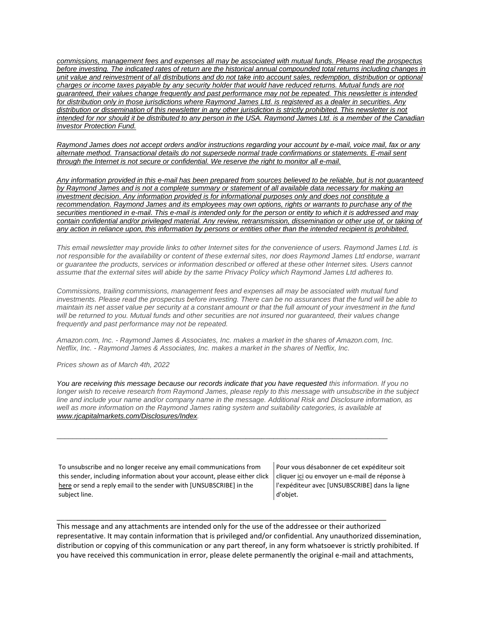*[commissions, management fees and expenses all may be associated with mutual funds. Please read the prospectus](https://na01.safelinks.protection.outlook.com/?url=https%3A%2F%2Furldefense.proofpoint.com%2Fv2%2Furl%3Fu%3Dhttps-3A__na01.safelinks.protection.outlook.com_-3Furl-3Dhttps-253A-252F-252Furldefense.proofpoint.com-252Fv2-252Furl-253Fu-253Dhttps-2D3A-5F-5Fnam11.safelinks.protection.outlook.com-5F-2D3Furl-2D3Dhttps-2D253A-2D252F-2D252Fowa-2D2Dkel.raymondjames.ca-2D252Fowa-2D252Fredir.aspx-2D253FSURL-2D253Dz0BxOCXDlQ-2D2DAad1f-2D5Fa9igaARxm5Rd1VXE7UcmD4mZ3IZiacj7DPTCG0AYQBpAGwAdABvADoAcABhAHUAbAAuAHMAaQBsAHUAYwBoAEAAcgBhAHkAbQBvAG4AZABqAGEAbQBlAHMALgBjAGEA-2D2526URL-2D253Dmailto-2D25253apaul.siluch-2D252540raymondjames.ca-2D26data-2D3D02-2D257C01-2D257C-2D257Cc172461ecbee4482512908d85e8192cf-2D257C84df9e7fe9f640afb435aaaaaaaaaaaa-2D257C1-2D257C0-2D257C637363258183635674-2D26sdata-2D3DYxnEd1j-2D252BPKZ7O-2D252BaYYWd4rEqnA-2D252FsZJqXh5i43hxevA-2D252Bk-2D253D-2D26reserved-2D3D0-2526d-253DDwMF-2Dg-2526c-253DK3dQCUGiI1B95NJ6cl3GoyhMW2dvBOfimZA-2D83UXll0-2526r-253D-5F6MBBSGYsFznIBwslhTiqBKEz4pHUCTd-5F9tbh-5FEpUMY-2526m-253D7qOaEnVxLdGuCP74qXGTNk9xkBSFm8R3CYYmRfTv9PQ-2526s-253DnStAVPWry0CYI3VlF6rPrM0m6uEmVBMWcLnjvw4FcOQ-2526e-253D-26data-3D04-257C01-257C-257Cd7befaa6204e4970b3c708d940d9c59b-257C84df9e7fe9f640afb435aaaaaaaaaaaa-257C1-257C0-257C637612126570777650-257CUnknown-257CTWFpbGZsb3d8eyJWIjoiMC4wLjAwMDAiLCJQIjoiV2luMzIiLCJBTiI6Ik1haWwiLCJXVCI6Mn0-253D-257C1000-26sdata-3DM49ZXdnspSFZQrK596fbGTlretjh3YLak2zax0lTRhA-253D-26reserved-3D0%26d%3DDwMGaQ%26c%3D6lBq1l7u-nYp55J7Pl8O6Ib5YT4g76ov0zCpXQrgS5M%26r%3DTmDOHaoWW3RetfvnGoPae_UczKZXXQgvJPe_P66GVYI%26m%3DHg8p8oxWBi-8j3HS2BzGxBvIXidcreERuI3mj9N1_KY%26s%3DcHHP8E9p-dpaWlcpnlZpqEr5EDq5pp8nszhdjMVBqLQ%26e%3D&data=04%7C01%7C%7C96eb5c23f77d45400b0d08d9c04986b6%7C84df9e7fe9f640afb435aaaaaaaaaaaa%7C1%7C0%7C637752244322531100%7CUnknown%7CTWFpbGZsb3d8eyJWIjoiMC4wLjAwMDAiLCJQIjoiV2luMzIiLCJBTiI6Ik1haWwiLCJXVCI6Mn0%3D%7C3000&sdata=IOWgM6HBm%2BEybcpihvxUsdyDQXvn5YirVzSXUwnElj4%3D&reserved=0)  [before investing. The indicated rates of return are the historical annual compounded total returns including changes in](https://na01.safelinks.protection.outlook.com/?url=https%3A%2F%2Furldefense.proofpoint.com%2Fv2%2Furl%3Fu%3Dhttps-3A__na01.safelinks.protection.outlook.com_-3Furl-3Dhttps-253A-252F-252Furldefense.proofpoint.com-252Fv2-252Furl-253Fu-253Dhttps-2D3A-5F-5Fnam11.safelinks.protection.outlook.com-5F-2D3Furl-2D3Dhttps-2D253A-2D252F-2D252Fowa-2D2Dkel.raymondjames.ca-2D252Fowa-2D252Fredir.aspx-2D253FSURL-2D253Dz0BxOCXDlQ-2D2DAad1f-2D5Fa9igaARxm5Rd1VXE7UcmD4mZ3IZiacj7DPTCG0AYQBpAGwAdABvADoAcABhAHUAbAAuAHMAaQBsAHUAYwBoAEAAcgBhAHkAbQBvAG4AZABqAGEAbQBlAHMALgBjAGEA-2D2526URL-2D253Dmailto-2D25253apaul.siluch-2D252540raymondjames.ca-2D26data-2D3D02-2D257C01-2D257C-2D257Cc172461ecbee4482512908d85e8192cf-2D257C84df9e7fe9f640afb435aaaaaaaaaaaa-2D257C1-2D257C0-2D257C637363258183635674-2D26sdata-2D3DYxnEd1j-2D252BPKZ7O-2D252BaYYWd4rEqnA-2D252FsZJqXh5i43hxevA-2D252Bk-2D253D-2D26reserved-2D3D0-2526d-253DDwMF-2Dg-2526c-253DK3dQCUGiI1B95NJ6cl3GoyhMW2dvBOfimZA-2D83UXll0-2526r-253D-5F6MBBSGYsFznIBwslhTiqBKEz4pHUCTd-5F9tbh-5FEpUMY-2526m-253D7qOaEnVxLdGuCP74qXGTNk9xkBSFm8R3CYYmRfTv9PQ-2526s-253DnStAVPWry0CYI3VlF6rPrM0m6uEmVBMWcLnjvw4FcOQ-2526e-253D-26data-3D04-257C01-257C-257Cd7befaa6204e4970b3c708d940d9c59b-257C84df9e7fe9f640afb435aaaaaaaaaaaa-257C1-257C0-257C637612126570777650-257CUnknown-257CTWFpbGZsb3d8eyJWIjoiMC4wLjAwMDAiLCJQIjoiV2luMzIiLCJBTiI6Ik1haWwiLCJXVCI6Mn0-253D-257C1000-26sdata-3DM49ZXdnspSFZQrK596fbGTlretjh3YLak2zax0lTRhA-253D-26reserved-3D0%26d%3DDwMGaQ%26c%3D6lBq1l7u-nYp55J7Pl8O6Ib5YT4g76ov0zCpXQrgS5M%26r%3DTmDOHaoWW3RetfvnGoPae_UczKZXXQgvJPe_P66GVYI%26m%3DHg8p8oxWBi-8j3HS2BzGxBvIXidcreERuI3mj9N1_KY%26s%3DcHHP8E9p-dpaWlcpnlZpqEr5EDq5pp8nszhdjMVBqLQ%26e%3D&data=04%7C01%7C%7C96eb5c23f77d45400b0d08d9c04986b6%7C84df9e7fe9f640afb435aaaaaaaaaaaa%7C1%7C0%7C637752244322531100%7CUnknown%7CTWFpbGZsb3d8eyJWIjoiMC4wLjAwMDAiLCJQIjoiV2luMzIiLCJBTiI6Ik1haWwiLCJXVCI6Mn0%3D%7C3000&sdata=IOWgM6HBm%2BEybcpihvxUsdyDQXvn5YirVzSXUwnElj4%3D&reserved=0)  [unit value and reinvestment of all distributions and do not take into account sales, redemption, distribution or optional](https://na01.safelinks.protection.outlook.com/?url=https%3A%2F%2Furldefense.proofpoint.com%2Fv2%2Furl%3Fu%3Dhttps-3A__na01.safelinks.protection.outlook.com_-3Furl-3Dhttps-253A-252F-252Furldefense.proofpoint.com-252Fv2-252Furl-253Fu-253Dhttps-2D3A-5F-5Fnam11.safelinks.protection.outlook.com-5F-2D3Furl-2D3Dhttps-2D253A-2D252F-2D252Fowa-2D2Dkel.raymondjames.ca-2D252Fowa-2D252Fredir.aspx-2D253FSURL-2D253Dz0BxOCXDlQ-2D2DAad1f-2D5Fa9igaARxm5Rd1VXE7UcmD4mZ3IZiacj7DPTCG0AYQBpAGwAdABvADoAcABhAHUAbAAuAHMAaQBsAHUAYwBoAEAAcgBhAHkAbQBvAG4AZABqAGEAbQBlAHMALgBjAGEA-2D2526URL-2D253Dmailto-2D25253apaul.siluch-2D252540raymondjames.ca-2D26data-2D3D02-2D257C01-2D257C-2D257Cc172461ecbee4482512908d85e8192cf-2D257C84df9e7fe9f640afb435aaaaaaaaaaaa-2D257C1-2D257C0-2D257C637363258183635674-2D26sdata-2D3DYxnEd1j-2D252BPKZ7O-2D252BaYYWd4rEqnA-2D252FsZJqXh5i43hxevA-2D252Bk-2D253D-2D26reserved-2D3D0-2526d-253DDwMF-2Dg-2526c-253DK3dQCUGiI1B95NJ6cl3GoyhMW2dvBOfimZA-2D83UXll0-2526r-253D-5F6MBBSGYsFznIBwslhTiqBKEz4pHUCTd-5F9tbh-5FEpUMY-2526m-253D7qOaEnVxLdGuCP74qXGTNk9xkBSFm8R3CYYmRfTv9PQ-2526s-253DnStAVPWry0CYI3VlF6rPrM0m6uEmVBMWcLnjvw4FcOQ-2526e-253D-26data-3D04-257C01-257C-257Cd7befaa6204e4970b3c708d940d9c59b-257C84df9e7fe9f640afb435aaaaaaaaaaaa-257C1-257C0-257C637612126570777650-257CUnknown-257CTWFpbGZsb3d8eyJWIjoiMC4wLjAwMDAiLCJQIjoiV2luMzIiLCJBTiI6Ik1haWwiLCJXVCI6Mn0-253D-257C1000-26sdata-3DM49ZXdnspSFZQrK596fbGTlretjh3YLak2zax0lTRhA-253D-26reserved-3D0%26d%3DDwMGaQ%26c%3D6lBq1l7u-nYp55J7Pl8O6Ib5YT4g76ov0zCpXQrgS5M%26r%3DTmDOHaoWW3RetfvnGoPae_UczKZXXQgvJPe_P66GVYI%26m%3DHg8p8oxWBi-8j3HS2BzGxBvIXidcreERuI3mj9N1_KY%26s%3DcHHP8E9p-dpaWlcpnlZpqEr5EDq5pp8nszhdjMVBqLQ%26e%3D&data=04%7C01%7C%7C96eb5c23f77d45400b0d08d9c04986b6%7C84df9e7fe9f640afb435aaaaaaaaaaaa%7C1%7C0%7C637752244322531100%7CUnknown%7CTWFpbGZsb3d8eyJWIjoiMC4wLjAwMDAiLCJQIjoiV2luMzIiLCJBTiI6Ik1haWwiLCJXVCI6Mn0%3D%7C3000&sdata=IOWgM6HBm%2BEybcpihvxUsdyDQXvn5YirVzSXUwnElj4%3D&reserved=0)  charges or income taxes payable by any [security holder that would have reduced returns. Mutual funds are not](https://na01.safelinks.protection.outlook.com/?url=https%3A%2F%2Furldefense.proofpoint.com%2Fv2%2Furl%3Fu%3Dhttps-3A__na01.safelinks.protection.outlook.com_-3Furl-3Dhttps-253A-252F-252Furldefense.proofpoint.com-252Fv2-252Furl-253Fu-253Dhttps-2D3A-5F-5Fnam11.safelinks.protection.outlook.com-5F-2D3Furl-2D3Dhttps-2D253A-2D252F-2D252Fowa-2D2Dkel.raymondjames.ca-2D252Fowa-2D252Fredir.aspx-2D253FSURL-2D253Dz0BxOCXDlQ-2D2DAad1f-2D5Fa9igaARxm5Rd1VXE7UcmD4mZ3IZiacj7DPTCG0AYQBpAGwAdABvADoAcABhAHUAbAAuAHMAaQBsAHUAYwBoAEAAcgBhAHkAbQBvAG4AZABqAGEAbQBlAHMALgBjAGEA-2D2526URL-2D253Dmailto-2D25253apaul.siluch-2D252540raymondjames.ca-2D26data-2D3D02-2D257C01-2D257C-2D257Cc172461ecbee4482512908d85e8192cf-2D257C84df9e7fe9f640afb435aaaaaaaaaaaa-2D257C1-2D257C0-2D257C637363258183635674-2D26sdata-2D3DYxnEd1j-2D252BPKZ7O-2D252BaYYWd4rEqnA-2D252FsZJqXh5i43hxevA-2D252Bk-2D253D-2D26reserved-2D3D0-2526d-253DDwMF-2Dg-2526c-253DK3dQCUGiI1B95NJ6cl3GoyhMW2dvBOfimZA-2D83UXll0-2526r-253D-5F6MBBSGYsFznIBwslhTiqBKEz4pHUCTd-5F9tbh-5FEpUMY-2526m-253D7qOaEnVxLdGuCP74qXGTNk9xkBSFm8R3CYYmRfTv9PQ-2526s-253DnStAVPWry0CYI3VlF6rPrM0m6uEmVBMWcLnjvw4FcOQ-2526e-253D-26data-3D04-257C01-257C-257Cd7befaa6204e4970b3c708d940d9c59b-257C84df9e7fe9f640afb435aaaaaaaaaaaa-257C1-257C0-257C637612126570777650-257CUnknown-257CTWFpbGZsb3d8eyJWIjoiMC4wLjAwMDAiLCJQIjoiV2luMzIiLCJBTiI6Ik1haWwiLCJXVCI6Mn0-253D-257C1000-26sdata-3DM49ZXdnspSFZQrK596fbGTlretjh3YLak2zax0lTRhA-253D-26reserved-3D0%26d%3DDwMGaQ%26c%3D6lBq1l7u-nYp55J7Pl8O6Ib5YT4g76ov0zCpXQrgS5M%26r%3DTmDOHaoWW3RetfvnGoPae_UczKZXXQgvJPe_P66GVYI%26m%3DHg8p8oxWBi-8j3HS2BzGxBvIXidcreERuI3mj9N1_KY%26s%3DcHHP8E9p-dpaWlcpnlZpqEr5EDq5pp8nszhdjMVBqLQ%26e%3D&data=04%7C01%7C%7C96eb5c23f77d45400b0d08d9c04986b6%7C84df9e7fe9f640afb435aaaaaaaaaaaa%7C1%7C0%7C637752244322531100%7CUnknown%7CTWFpbGZsb3d8eyJWIjoiMC4wLjAwMDAiLCJQIjoiV2luMzIiLCJBTiI6Ik1haWwiLCJXVCI6Mn0%3D%7C3000&sdata=IOWgM6HBm%2BEybcpihvxUsdyDQXvn5YirVzSXUwnElj4%3D&reserved=0)  [guaranteed, their values change frequently and past performance may not be repeated. This newsletter is intended](https://na01.safelinks.protection.outlook.com/?url=https%3A%2F%2Furldefense.proofpoint.com%2Fv2%2Furl%3Fu%3Dhttps-3A__na01.safelinks.protection.outlook.com_-3Furl-3Dhttps-253A-252F-252Furldefense.proofpoint.com-252Fv2-252Furl-253Fu-253Dhttps-2D3A-5F-5Fnam11.safelinks.protection.outlook.com-5F-2D3Furl-2D3Dhttps-2D253A-2D252F-2D252Fowa-2D2Dkel.raymondjames.ca-2D252Fowa-2D252Fredir.aspx-2D253FSURL-2D253Dz0BxOCXDlQ-2D2DAad1f-2D5Fa9igaARxm5Rd1VXE7UcmD4mZ3IZiacj7DPTCG0AYQBpAGwAdABvADoAcABhAHUAbAAuAHMAaQBsAHUAYwBoAEAAcgBhAHkAbQBvAG4AZABqAGEAbQBlAHMALgBjAGEA-2D2526URL-2D253Dmailto-2D25253apaul.siluch-2D252540raymondjames.ca-2D26data-2D3D02-2D257C01-2D257C-2D257Cc172461ecbee4482512908d85e8192cf-2D257C84df9e7fe9f640afb435aaaaaaaaaaaa-2D257C1-2D257C0-2D257C637363258183635674-2D26sdata-2D3DYxnEd1j-2D252BPKZ7O-2D252BaYYWd4rEqnA-2D252FsZJqXh5i43hxevA-2D252Bk-2D253D-2D26reserved-2D3D0-2526d-253DDwMF-2Dg-2526c-253DK3dQCUGiI1B95NJ6cl3GoyhMW2dvBOfimZA-2D83UXll0-2526r-253D-5F6MBBSGYsFznIBwslhTiqBKEz4pHUCTd-5F9tbh-5FEpUMY-2526m-253D7qOaEnVxLdGuCP74qXGTNk9xkBSFm8R3CYYmRfTv9PQ-2526s-253DnStAVPWry0CYI3VlF6rPrM0m6uEmVBMWcLnjvw4FcOQ-2526e-253D-26data-3D04-257C01-257C-257Cd7befaa6204e4970b3c708d940d9c59b-257C84df9e7fe9f640afb435aaaaaaaaaaaa-257C1-257C0-257C637612126570777650-257CUnknown-257CTWFpbGZsb3d8eyJWIjoiMC4wLjAwMDAiLCJQIjoiV2luMzIiLCJBTiI6Ik1haWwiLCJXVCI6Mn0-253D-257C1000-26sdata-3DM49ZXdnspSFZQrK596fbGTlretjh3YLak2zax0lTRhA-253D-26reserved-3D0%26d%3DDwMGaQ%26c%3D6lBq1l7u-nYp55J7Pl8O6Ib5YT4g76ov0zCpXQrgS5M%26r%3DTmDOHaoWW3RetfvnGoPae_UczKZXXQgvJPe_P66GVYI%26m%3DHg8p8oxWBi-8j3HS2BzGxBvIXidcreERuI3mj9N1_KY%26s%3DcHHP8E9p-dpaWlcpnlZpqEr5EDq5pp8nszhdjMVBqLQ%26e%3D&data=04%7C01%7C%7C96eb5c23f77d45400b0d08d9c04986b6%7C84df9e7fe9f640afb435aaaaaaaaaaaa%7C1%7C0%7C637752244322531100%7CUnknown%7CTWFpbGZsb3d8eyJWIjoiMC4wLjAwMDAiLCJQIjoiV2luMzIiLCJBTiI6Ik1haWwiLCJXVCI6Mn0%3D%7C3000&sdata=IOWgM6HBm%2BEybcpihvxUsdyDQXvn5YirVzSXUwnElj4%3D&reserved=0)  [for distribution only in those jurisdictions where Raymond James Ltd. is](https://na01.safelinks.protection.outlook.com/?url=https%3A%2F%2Furldefense.proofpoint.com%2Fv2%2Furl%3Fu%3Dhttps-3A__na01.safelinks.protection.outlook.com_-3Furl-3Dhttps-253A-252F-252Furldefense.proofpoint.com-252Fv2-252Furl-253Fu-253Dhttps-2D3A-5F-5Fnam11.safelinks.protection.outlook.com-5F-2D3Furl-2D3Dhttps-2D253A-2D252F-2D252Fowa-2D2Dkel.raymondjames.ca-2D252Fowa-2D252Fredir.aspx-2D253FSURL-2D253Dz0BxOCXDlQ-2D2DAad1f-2D5Fa9igaARxm5Rd1VXE7UcmD4mZ3IZiacj7DPTCG0AYQBpAGwAdABvADoAcABhAHUAbAAuAHMAaQBsAHUAYwBoAEAAcgBhAHkAbQBvAG4AZABqAGEAbQBlAHMALgBjAGEA-2D2526URL-2D253Dmailto-2D25253apaul.siluch-2D252540raymondjames.ca-2D26data-2D3D02-2D257C01-2D257C-2D257Cc172461ecbee4482512908d85e8192cf-2D257C84df9e7fe9f640afb435aaaaaaaaaaaa-2D257C1-2D257C0-2D257C637363258183635674-2D26sdata-2D3DYxnEd1j-2D252BPKZ7O-2D252BaYYWd4rEqnA-2D252FsZJqXh5i43hxevA-2D252Bk-2D253D-2D26reserved-2D3D0-2526d-253DDwMF-2Dg-2526c-253DK3dQCUGiI1B95NJ6cl3GoyhMW2dvBOfimZA-2D83UXll0-2526r-253D-5F6MBBSGYsFznIBwslhTiqBKEz4pHUCTd-5F9tbh-5FEpUMY-2526m-253D7qOaEnVxLdGuCP74qXGTNk9xkBSFm8R3CYYmRfTv9PQ-2526s-253DnStAVPWry0CYI3VlF6rPrM0m6uEmVBMWcLnjvw4FcOQ-2526e-253D-26data-3D04-257C01-257C-257Cd7befaa6204e4970b3c708d940d9c59b-257C84df9e7fe9f640afb435aaaaaaaaaaaa-257C1-257C0-257C637612126570777650-257CUnknown-257CTWFpbGZsb3d8eyJWIjoiMC4wLjAwMDAiLCJQIjoiV2luMzIiLCJBTiI6Ik1haWwiLCJXVCI6Mn0-253D-257C1000-26sdata-3DM49ZXdnspSFZQrK596fbGTlretjh3YLak2zax0lTRhA-253D-26reserved-3D0%26d%3DDwMGaQ%26c%3D6lBq1l7u-nYp55J7Pl8O6Ib5YT4g76ov0zCpXQrgS5M%26r%3DTmDOHaoWW3RetfvnGoPae_UczKZXXQgvJPe_P66GVYI%26m%3DHg8p8oxWBi-8j3HS2BzGxBvIXidcreERuI3mj9N1_KY%26s%3DcHHP8E9p-dpaWlcpnlZpqEr5EDq5pp8nszhdjMVBqLQ%26e%3D&data=04%7C01%7C%7C96eb5c23f77d45400b0d08d9c04986b6%7C84df9e7fe9f640afb435aaaaaaaaaaaa%7C1%7C0%7C637752244322531100%7CUnknown%7CTWFpbGZsb3d8eyJWIjoiMC4wLjAwMDAiLCJQIjoiV2luMzIiLCJBTiI6Ik1haWwiLCJXVCI6Mn0%3D%7C3000&sdata=IOWgM6HBm%2BEybcpihvxUsdyDQXvn5YirVzSXUwnElj4%3D&reserved=0) registered as a dealer in securities. Any [distribution or dissemination of this newsletter in any other jurisdiction is strictly prohibited. This newsletter is not](https://na01.safelinks.protection.outlook.com/?url=https%3A%2F%2Furldefense.proofpoint.com%2Fv2%2Furl%3Fu%3Dhttps-3A__na01.safelinks.protection.outlook.com_-3Furl-3Dhttps-253A-252F-252Furldefense.proofpoint.com-252Fv2-252Furl-253Fu-253Dhttps-2D3A-5F-5Fnam11.safelinks.protection.outlook.com-5F-2D3Furl-2D3Dhttps-2D253A-2D252F-2D252Fowa-2D2Dkel.raymondjames.ca-2D252Fowa-2D252Fredir.aspx-2D253FSURL-2D253Dz0BxOCXDlQ-2D2DAad1f-2D5Fa9igaARxm5Rd1VXE7UcmD4mZ3IZiacj7DPTCG0AYQBpAGwAdABvADoAcABhAHUAbAAuAHMAaQBsAHUAYwBoAEAAcgBhAHkAbQBvAG4AZABqAGEAbQBlAHMALgBjAGEA-2D2526URL-2D253Dmailto-2D25253apaul.siluch-2D252540raymondjames.ca-2D26data-2D3D02-2D257C01-2D257C-2D257Cc172461ecbee4482512908d85e8192cf-2D257C84df9e7fe9f640afb435aaaaaaaaaaaa-2D257C1-2D257C0-2D257C637363258183635674-2D26sdata-2D3DYxnEd1j-2D252BPKZ7O-2D252BaYYWd4rEqnA-2D252FsZJqXh5i43hxevA-2D252Bk-2D253D-2D26reserved-2D3D0-2526d-253DDwMF-2Dg-2526c-253DK3dQCUGiI1B95NJ6cl3GoyhMW2dvBOfimZA-2D83UXll0-2526r-253D-5F6MBBSGYsFznIBwslhTiqBKEz4pHUCTd-5F9tbh-5FEpUMY-2526m-253D7qOaEnVxLdGuCP74qXGTNk9xkBSFm8R3CYYmRfTv9PQ-2526s-253DnStAVPWry0CYI3VlF6rPrM0m6uEmVBMWcLnjvw4FcOQ-2526e-253D-26data-3D04-257C01-257C-257Cd7befaa6204e4970b3c708d940d9c59b-257C84df9e7fe9f640afb435aaaaaaaaaaaa-257C1-257C0-257C637612126570777650-257CUnknown-257CTWFpbGZsb3d8eyJWIjoiMC4wLjAwMDAiLCJQIjoiV2luMzIiLCJBTiI6Ik1haWwiLCJXVCI6Mn0-253D-257C1000-26sdata-3DM49ZXdnspSFZQrK596fbGTlretjh3YLak2zax0lTRhA-253D-26reserved-3D0%26d%3DDwMGaQ%26c%3D6lBq1l7u-nYp55J7Pl8O6Ib5YT4g76ov0zCpXQrgS5M%26r%3DTmDOHaoWW3RetfvnGoPae_UczKZXXQgvJPe_P66GVYI%26m%3DHg8p8oxWBi-8j3HS2BzGxBvIXidcreERuI3mj9N1_KY%26s%3DcHHP8E9p-dpaWlcpnlZpqEr5EDq5pp8nszhdjMVBqLQ%26e%3D&data=04%7C01%7C%7C96eb5c23f77d45400b0d08d9c04986b6%7C84df9e7fe9f640afb435aaaaaaaaaaaa%7C1%7C0%7C637752244322531100%7CUnknown%7CTWFpbGZsb3d8eyJWIjoiMC4wLjAwMDAiLCJQIjoiV2luMzIiLCJBTiI6Ik1haWwiLCJXVCI6Mn0%3D%7C3000&sdata=IOWgM6HBm%2BEybcpihvxUsdyDQXvn5YirVzSXUwnElj4%3D&reserved=0)  [intended for nor should it be distributed to any person in the USA. Raymond James Ltd. is a](https://na01.safelinks.protection.outlook.com/?url=https%3A%2F%2Furldefense.proofpoint.com%2Fv2%2Furl%3Fu%3Dhttps-3A__na01.safelinks.protection.outlook.com_-3Furl-3Dhttps-253A-252F-252Furldefense.proofpoint.com-252Fv2-252Furl-253Fu-253Dhttps-2D3A-5F-5Fnam11.safelinks.protection.outlook.com-5F-2D3Furl-2D3Dhttps-2D253A-2D252F-2D252Fowa-2D2Dkel.raymondjames.ca-2D252Fowa-2D252Fredir.aspx-2D253FSURL-2D253Dz0BxOCXDlQ-2D2DAad1f-2D5Fa9igaARxm5Rd1VXE7UcmD4mZ3IZiacj7DPTCG0AYQBpAGwAdABvADoAcABhAHUAbAAuAHMAaQBsAHUAYwBoAEAAcgBhAHkAbQBvAG4AZABqAGEAbQBlAHMALgBjAGEA-2D2526URL-2D253Dmailto-2D25253apaul.siluch-2D252540raymondjames.ca-2D26data-2D3D02-2D257C01-2D257C-2D257Cc172461ecbee4482512908d85e8192cf-2D257C84df9e7fe9f640afb435aaaaaaaaaaaa-2D257C1-2D257C0-2D257C637363258183635674-2D26sdata-2D3DYxnEd1j-2D252BPKZ7O-2D252BaYYWd4rEqnA-2D252FsZJqXh5i43hxevA-2D252Bk-2D253D-2D26reserved-2D3D0-2526d-253DDwMF-2Dg-2526c-253DK3dQCUGiI1B95NJ6cl3GoyhMW2dvBOfimZA-2D83UXll0-2526r-253D-5F6MBBSGYsFznIBwslhTiqBKEz4pHUCTd-5F9tbh-5FEpUMY-2526m-253D7qOaEnVxLdGuCP74qXGTNk9xkBSFm8R3CYYmRfTv9PQ-2526s-253DnStAVPWry0CYI3VlF6rPrM0m6uEmVBMWcLnjvw4FcOQ-2526e-253D-26data-3D04-257C01-257C-257Cd7befaa6204e4970b3c708d940d9c59b-257C84df9e7fe9f640afb435aaaaaaaaaaaa-257C1-257C0-257C637612126570777650-257CUnknown-257CTWFpbGZsb3d8eyJWIjoiMC4wLjAwMDAiLCJQIjoiV2luMzIiLCJBTiI6Ik1haWwiLCJXVCI6Mn0-253D-257C1000-26sdata-3DM49ZXdnspSFZQrK596fbGTlretjh3YLak2zax0lTRhA-253D-26reserved-3D0%26d%3DDwMGaQ%26c%3D6lBq1l7u-nYp55J7Pl8O6Ib5YT4g76ov0zCpXQrgS5M%26r%3DTmDOHaoWW3RetfvnGoPae_UczKZXXQgvJPe_P66GVYI%26m%3DHg8p8oxWBi-8j3HS2BzGxBvIXidcreERuI3mj9N1_KY%26s%3DcHHP8E9p-dpaWlcpnlZpqEr5EDq5pp8nszhdjMVBqLQ%26e%3D&data=04%7C01%7C%7C96eb5c23f77d45400b0d08d9c04986b6%7C84df9e7fe9f640afb435aaaaaaaaaaaa%7C1%7C0%7C637752244322531100%7CUnknown%7CTWFpbGZsb3d8eyJWIjoiMC4wLjAwMDAiLCJQIjoiV2luMzIiLCJBTiI6Ik1haWwiLCJXVCI6Mn0%3D%7C3000&sdata=IOWgM6HBm%2BEybcpihvxUsdyDQXvn5YirVzSXUwnElj4%3D&reserved=0) member of the Canadian [Investor Protection Fund.](https://na01.safelinks.protection.outlook.com/?url=https%3A%2F%2Furldefense.proofpoint.com%2Fv2%2Furl%3Fu%3Dhttps-3A__na01.safelinks.protection.outlook.com_-3Furl-3Dhttps-253A-252F-252Furldefense.proofpoint.com-252Fv2-252Furl-253Fu-253Dhttps-2D3A-5F-5Fnam11.safelinks.protection.outlook.com-5F-2D3Furl-2D3Dhttps-2D253A-2D252F-2D252Fowa-2D2Dkel.raymondjames.ca-2D252Fowa-2D252Fredir.aspx-2D253FSURL-2D253Dz0BxOCXDlQ-2D2DAad1f-2D5Fa9igaARxm5Rd1VXE7UcmD4mZ3IZiacj7DPTCG0AYQBpAGwAdABvADoAcABhAHUAbAAuAHMAaQBsAHUAYwBoAEAAcgBhAHkAbQBvAG4AZABqAGEAbQBlAHMALgBjAGEA-2D2526URL-2D253Dmailto-2D25253apaul.siluch-2D252540raymondjames.ca-2D26data-2D3D02-2D257C01-2D257C-2D257Cc172461ecbee4482512908d85e8192cf-2D257C84df9e7fe9f640afb435aaaaaaaaaaaa-2D257C1-2D257C0-2D257C637363258183635674-2D26sdata-2D3DYxnEd1j-2D252BPKZ7O-2D252BaYYWd4rEqnA-2D252FsZJqXh5i43hxevA-2D252Bk-2D253D-2D26reserved-2D3D0-2526d-253DDwMF-2Dg-2526c-253DK3dQCUGiI1B95NJ6cl3GoyhMW2dvBOfimZA-2D83UXll0-2526r-253D-5F6MBBSGYsFznIBwslhTiqBKEz4pHUCTd-5F9tbh-5FEpUMY-2526m-253D7qOaEnVxLdGuCP74qXGTNk9xkBSFm8R3CYYmRfTv9PQ-2526s-253DnStAVPWry0CYI3VlF6rPrM0m6uEmVBMWcLnjvw4FcOQ-2526e-253D-26data-3D04-257C01-257C-257Cd7befaa6204e4970b3c708d940d9c59b-257C84df9e7fe9f640afb435aaaaaaaaaaaa-257C1-257C0-257C637612126570777650-257CUnknown-257CTWFpbGZsb3d8eyJWIjoiMC4wLjAwMDAiLCJQIjoiV2luMzIiLCJBTiI6Ik1haWwiLCJXVCI6Mn0-253D-257C1000-26sdata-3DM49ZXdnspSFZQrK596fbGTlretjh3YLak2zax0lTRhA-253D-26reserved-3D0%26d%3DDwMGaQ%26c%3D6lBq1l7u-nYp55J7Pl8O6Ib5YT4g76ov0zCpXQrgS5M%26r%3DTmDOHaoWW3RetfvnGoPae_UczKZXXQgvJPe_P66GVYI%26m%3DHg8p8oxWBi-8j3HS2BzGxBvIXidcreERuI3mj9N1_KY%26s%3DcHHP8E9p-dpaWlcpnlZpqEr5EDq5pp8nszhdjMVBqLQ%26e%3D&data=04%7C01%7C%7C96eb5c23f77d45400b0d08d9c04986b6%7C84df9e7fe9f640afb435aaaaaaaaaaaa%7C1%7C0%7C637752244322531100%7CUnknown%7CTWFpbGZsb3d8eyJWIjoiMC4wLjAwMDAiLCJQIjoiV2luMzIiLCJBTiI6Ik1haWwiLCJXVCI6Mn0%3D%7C3000&sdata=IOWgM6HBm%2BEybcpihvxUsdyDQXvn5YirVzSXUwnElj4%3D&reserved=0)* 

*[Raymond James does not accept orders and/or instructions regarding your account by e-mail, voice mail, fax or any](https://na01.safelinks.protection.outlook.com/?url=https%3A%2F%2Furldefense.proofpoint.com%2Fv2%2Furl%3Fu%3Dhttps-3A__na01.safelinks.protection.outlook.com_-3Furl-3Dhttps-253A-252F-252Furldefense.proofpoint.com-252Fv2-252Furl-253Fu-253Dhttps-2D3A-5F-5Fnam11.safelinks.protection.outlook.com-5F-2D3Furl-2D3Dhttps-2D253A-2D252F-2D252Fowa-2D2Dkel.raymondjames.ca-2D252Fowa-2D252Fredir.aspx-2D253FSURL-2D253Dz0BxOCXDlQ-2D2DAad1f-2D5Fa9igaARxm5Rd1VXE7UcmD4mZ3IZiacj7DPTCG0AYQBpAGwAdABvADoAcABhAHUAbAAuAHMAaQBsAHUAYwBoAEAAcgBhAHkAbQBvAG4AZABqAGEAbQBlAHMALgBjAGEA-2D2526URL-2D253Dmailto-2D25253apaul.siluch-2D252540raymondjames.ca-2D26data-2D3D02-2D257C01-2D257C-2D257Cc172461ecbee4482512908d85e8192cf-2D257C84df9e7fe9f640afb435aaaaaaaaaaaa-2D257C1-2D257C0-2D257C637363258183645669-2D26sdata-2D3DjKvjWtH2krR43u3J3z5Cv9nHD0QMiBAUf4SY0jMfuYE-2D253D-2D26reserved-2D3D0-2526d-253DDwMF-2Dg-2526c-253DK3dQCUGiI1B95NJ6cl3GoyhMW2dvBOfimZA-2D83UXll0-2526r-253D-5F6MBBSGYsFznIBwslhTiqBKEz4pHUCTd-5F9tbh-5FEpUMY-2526m-253D7qOaEnVxLdGuCP74qXGTNk9xkBSFm8R3CYYmRfTv9PQ-2526s-253Dm8uHgNiRKEtIPVRoT8MsE-2DO97e6Q7JVm8rnhQdyv494-2526e-253D-26data-3D04-257C01-257C-257Cd7befaa6204e4970b3c708d940d9c59b-257C84df9e7fe9f640afb435aaaaaaaaaaaa-257C1-257C0-257C637612126570787644-257CUnknown-257CTWFpbGZsb3d8eyJWIjoiMC4wLjAwMDAiLCJQIjoiV2luMzIiLCJBTiI6Ik1haWwiLCJXVCI6Mn0-253D-257C1000-26sdata-3D73rUPtlV6R5leOKwzO7FnFM8Vfz2thT34FLtm0IZenI-253D-26reserved-3D0%26d%3DDwMGaQ%26c%3D6lBq1l7u-nYp55J7Pl8O6Ib5YT4g76ov0zCpXQrgS5M%26r%3DTmDOHaoWW3RetfvnGoPae_UczKZXXQgvJPe_P66GVYI%26m%3DHg8p8oxWBi-8j3HS2BzGxBvIXidcreERuI3mj9N1_KY%26s%3D2XgYxVCBAVM_CI5HBqty2fhaeBv1f4pm0YVgRd7upBg%26e%3D&data=04%7C01%7C%7C96eb5c23f77d45400b0d08d9c04986b6%7C84df9e7fe9f640afb435aaaaaaaaaaaa%7C1%7C0%7C637752244322541090%7CUnknown%7CTWFpbGZsb3d8eyJWIjoiMC4wLjAwMDAiLCJQIjoiV2luMzIiLCJBTiI6Ik1haWwiLCJXVCI6Mn0%3D%7C3000&sdata=VA2lcUupNzBJRt6m4FSTpV4CSKTj7daXgpJXTjUV%2F2k%3D&reserved=0)  [alternate method. Transactional details do not supersede normal trade confirmations or statements. E-mail sent](https://na01.safelinks.protection.outlook.com/?url=https%3A%2F%2Furldefense.proofpoint.com%2Fv2%2Furl%3Fu%3Dhttps-3A__na01.safelinks.protection.outlook.com_-3Furl-3Dhttps-253A-252F-252Furldefense.proofpoint.com-252Fv2-252Furl-253Fu-253Dhttps-2D3A-5F-5Fnam11.safelinks.protection.outlook.com-5F-2D3Furl-2D3Dhttps-2D253A-2D252F-2D252Fowa-2D2Dkel.raymondjames.ca-2D252Fowa-2D252Fredir.aspx-2D253FSURL-2D253Dz0BxOCXDlQ-2D2DAad1f-2D5Fa9igaARxm5Rd1VXE7UcmD4mZ3IZiacj7DPTCG0AYQBpAGwAdABvADoAcABhAHUAbAAuAHMAaQBsAHUAYwBoAEAAcgBhAHkAbQBvAG4AZABqAGEAbQBlAHMALgBjAGEA-2D2526URL-2D253Dmailto-2D25253apaul.siluch-2D252540raymondjames.ca-2D26data-2D3D02-2D257C01-2D257C-2D257Cc172461ecbee4482512908d85e8192cf-2D257C84df9e7fe9f640afb435aaaaaaaaaaaa-2D257C1-2D257C0-2D257C637363258183645669-2D26sdata-2D3DjKvjWtH2krR43u3J3z5Cv9nHD0QMiBAUf4SY0jMfuYE-2D253D-2D26reserved-2D3D0-2526d-253DDwMF-2Dg-2526c-253DK3dQCUGiI1B95NJ6cl3GoyhMW2dvBOfimZA-2D83UXll0-2526r-253D-5F6MBBSGYsFznIBwslhTiqBKEz4pHUCTd-5F9tbh-5FEpUMY-2526m-253D7qOaEnVxLdGuCP74qXGTNk9xkBSFm8R3CYYmRfTv9PQ-2526s-253Dm8uHgNiRKEtIPVRoT8MsE-2DO97e6Q7JVm8rnhQdyv494-2526e-253D-26data-3D04-257C01-257C-257Cd7befaa6204e4970b3c708d940d9c59b-257C84df9e7fe9f640afb435aaaaaaaaaaaa-257C1-257C0-257C637612126570787644-257CUnknown-257CTWFpbGZsb3d8eyJWIjoiMC4wLjAwMDAiLCJQIjoiV2luMzIiLCJBTiI6Ik1haWwiLCJXVCI6Mn0-253D-257C1000-26sdata-3D73rUPtlV6R5leOKwzO7FnFM8Vfz2thT34FLtm0IZenI-253D-26reserved-3D0%26d%3DDwMGaQ%26c%3D6lBq1l7u-nYp55J7Pl8O6Ib5YT4g76ov0zCpXQrgS5M%26r%3DTmDOHaoWW3RetfvnGoPae_UczKZXXQgvJPe_P66GVYI%26m%3DHg8p8oxWBi-8j3HS2BzGxBvIXidcreERuI3mj9N1_KY%26s%3D2XgYxVCBAVM_CI5HBqty2fhaeBv1f4pm0YVgRd7upBg%26e%3D&data=04%7C01%7C%7C96eb5c23f77d45400b0d08d9c04986b6%7C84df9e7fe9f640afb435aaaaaaaaaaaa%7C1%7C0%7C637752244322541090%7CUnknown%7CTWFpbGZsb3d8eyJWIjoiMC4wLjAwMDAiLCJQIjoiV2luMzIiLCJBTiI6Ik1haWwiLCJXVCI6Mn0%3D%7C3000&sdata=VA2lcUupNzBJRt6m4FSTpV4CSKTj7daXgpJXTjUV%2F2k%3D&reserved=0)  [through the Internet is not secure or confidential. We reserve the right to monitor](https://na01.safelinks.protection.outlook.com/?url=https%3A%2F%2Furldefense.proofpoint.com%2Fv2%2Furl%3Fu%3Dhttps-3A__na01.safelinks.protection.outlook.com_-3Furl-3Dhttps-253A-252F-252Furldefense.proofpoint.com-252Fv2-252Furl-253Fu-253Dhttps-2D3A-5F-5Fnam11.safelinks.protection.outlook.com-5F-2D3Furl-2D3Dhttps-2D253A-2D252F-2D252Fowa-2D2Dkel.raymondjames.ca-2D252Fowa-2D252Fredir.aspx-2D253FSURL-2D253Dz0BxOCXDlQ-2D2DAad1f-2D5Fa9igaARxm5Rd1VXE7UcmD4mZ3IZiacj7DPTCG0AYQBpAGwAdABvADoAcABhAHUAbAAuAHMAaQBsAHUAYwBoAEAAcgBhAHkAbQBvAG4AZABqAGEAbQBlAHMALgBjAGEA-2D2526URL-2D253Dmailto-2D25253apaul.siluch-2D252540raymondjames.ca-2D26data-2D3D02-2D257C01-2D257C-2D257Cc172461ecbee4482512908d85e8192cf-2D257C84df9e7fe9f640afb435aaaaaaaaaaaa-2D257C1-2D257C0-2D257C637363258183645669-2D26sdata-2D3DjKvjWtH2krR43u3J3z5Cv9nHD0QMiBAUf4SY0jMfuYE-2D253D-2D26reserved-2D3D0-2526d-253DDwMF-2Dg-2526c-253DK3dQCUGiI1B95NJ6cl3GoyhMW2dvBOfimZA-2D83UXll0-2526r-253D-5F6MBBSGYsFznIBwslhTiqBKEz4pHUCTd-5F9tbh-5FEpUMY-2526m-253D7qOaEnVxLdGuCP74qXGTNk9xkBSFm8R3CYYmRfTv9PQ-2526s-253Dm8uHgNiRKEtIPVRoT8MsE-2DO97e6Q7JVm8rnhQdyv494-2526e-253D-26data-3D04-257C01-257C-257Cd7befaa6204e4970b3c708d940d9c59b-257C84df9e7fe9f640afb435aaaaaaaaaaaa-257C1-257C0-257C637612126570787644-257CUnknown-257CTWFpbGZsb3d8eyJWIjoiMC4wLjAwMDAiLCJQIjoiV2luMzIiLCJBTiI6Ik1haWwiLCJXVCI6Mn0-253D-257C1000-26sdata-3D73rUPtlV6R5leOKwzO7FnFM8Vfz2thT34FLtm0IZenI-253D-26reserved-3D0%26d%3DDwMGaQ%26c%3D6lBq1l7u-nYp55J7Pl8O6Ib5YT4g76ov0zCpXQrgS5M%26r%3DTmDOHaoWW3RetfvnGoPae_UczKZXXQgvJPe_P66GVYI%26m%3DHg8p8oxWBi-8j3HS2BzGxBvIXidcreERuI3mj9N1_KY%26s%3D2XgYxVCBAVM_CI5HBqty2fhaeBv1f4pm0YVgRd7upBg%26e%3D&data=04%7C01%7C%7C96eb5c23f77d45400b0d08d9c04986b6%7C84df9e7fe9f640afb435aaaaaaaaaaaa%7C1%7C0%7C637752244322541090%7CUnknown%7CTWFpbGZsb3d8eyJWIjoiMC4wLjAwMDAiLCJQIjoiV2luMzIiLCJBTiI6Ik1haWwiLCJXVCI6Mn0%3D%7C3000&sdata=VA2lcUupNzBJRt6m4FSTpV4CSKTj7daXgpJXTjUV%2F2k%3D&reserved=0) all e-mail.*

*[Any information provided in this e-mail has been prepared from](https://na01.safelinks.protection.outlook.com/?url=https%3A%2F%2Furldefense.proofpoint.com%2Fv2%2Furl%3Fu%3Dhttps-3A__na01.safelinks.protection.outlook.com_-3Furl-3Dhttps-253A-252F-252Furldefense.proofpoint.com-252Fv2-252Furl-253Fu-253Dhttps-2D3A-5F-5Fnam11.safelinks.protection.outlook.com-5F-2D3Furl-2D3Dhttps-2D253A-2D252F-2D252Fowa-2D2Dkel.raymondjames.ca-2D252Fowa-2D252Fredir.aspx-2D253FSURL-2D253Dz0BxOCXDlQ-2D2DAad1f-2D5Fa9igaARxm5Rd1VXE7UcmD4mZ3IZiacj7DPTCG0AYQBpAGwAdABvADoAcABhAHUAbAAuAHMAaQBsAHUAYwBoAEAAcgBhAHkAbQBvAG4AZABqAGEAbQBlAHMALgBjAGEA-2D2526URL-2D253Dmailto-2D25253apaul.siluch-2D252540raymondjames.ca-2D26data-2D3D02-2D257C01-2D257C-2D257Cc172461ecbee4482512908d85e8192cf-2D257C84df9e7fe9f640afb435aaaaaaaaaaaa-2D257C1-2D257C0-2D257C637363258183645669-2D26sdata-2D3DjKvjWtH2krR43u3J3z5Cv9nHD0QMiBAUf4SY0jMfuYE-2D253D-2D26reserved-2D3D0-2526d-253DDwMF-2Dg-2526c-253DK3dQCUGiI1B95NJ6cl3GoyhMW2dvBOfimZA-2D83UXll0-2526r-253D-5F6MBBSGYsFznIBwslhTiqBKEz4pHUCTd-5F9tbh-5FEpUMY-2526m-253D7qOaEnVxLdGuCP74qXGTNk9xkBSFm8R3CYYmRfTv9PQ-2526s-253Dm8uHgNiRKEtIPVRoT8MsE-2DO97e6Q7JVm8rnhQdyv494-2526e-253D-26data-3D04-257C01-257C-257Cd7befaa6204e4970b3c708d940d9c59b-257C84df9e7fe9f640afb435aaaaaaaaaaaa-257C1-257C0-257C637612126570797642-257CUnknown-257CTWFpbGZsb3d8eyJWIjoiMC4wLjAwMDAiLCJQIjoiV2luMzIiLCJBTiI6Ik1haWwiLCJXVCI6Mn0-253D-257C1000-26sdata-3Dl9-252FvkX2Z97-252FYx3-252FH5lu-252F34o-252B-252BoQHQnEbtpxd-252FTqqdVE-253D-26reserved-3D0%26d%3DDwMGaQ%26c%3D6lBq1l7u-nYp55J7Pl8O6Ib5YT4g76ov0zCpXQrgS5M%26r%3DTmDOHaoWW3RetfvnGoPae_UczKZXXQgvJPe_P66GVYI%26m%3DHg8p8oxWBi-8j3HS2BzGxBvIXidcreERuI3mj9N1_KY%26s%3DlZb8JuoyZ_axPEXYAs2K8KPGqV8PNgyOIrD4K9Cf6x8%26e%3D&data=04%7C01%7C%7C96eb5c23f77d45400b0d08d9c04986b6%7C84df9e7fe9f640afb435aaaaaaaaaaaa%7C1%7C0%7C637752244322551095%7CUnknown%7CTWFpbGZsb3d8eyJWIjoiMC4wLjAwMDAiLCJQIjoiV2luMzIiLCJBTiI6Ik1haWwiLCJXVCI6Mn0%3D%7C3000&sdata=0N%2FKMRhJBPZcqlFDlt0B2iha1Sofl5j030YQWQxtAs0%3D&reserved=0) sources believed to be reliable, but is not guaranteed [by Raymond James and is not a complete summary or statement of all available data necessary for making an](https://na01.safelinks.protection.outlook.com/?url=https%3A%2F%2Furldefense.proofpoint.com%2Fv2%2Furl%3Fu%3Dhttps-3A__na01.safelinks.protection.outlook.com_-3Furl-3Dhttps-253A-252F-252Furldefense.proofpoint.com-252Fv2-252Furl-253Fu-253Dhttps-2D3A-5F-5Fnam11.safelinks.protection.outlook.com-5F-2D3Furl-2D3Dhttps-2D253A-2D252F-2D252Fowa-2D2Dkel.raymondjames.ca-2D252Fowa-2D252Fredir.aspx-2D253FSURL-2D253Dz0BxOCXDlQ-2D2DAad1f-2D5Fa9igaARxm5Rd1VXE7UcmD4mZ3IZiacj7DPTCG0AYQBpAGwAdABvADoAcABhAHUAbAAuAHMAaQBsAHUAYwBoAEAAcgBhAHkAbQBvAG4AZABqAGEAbQBlAHMALgBjAGEA-2D2526URL-2D253Dmailto-2D25253apaul.siluch-2D252540raymondjames.ca-2D26data-2D3D02-2D257C01-2D257C-2D257Cc172461ecbee4482512908d85e8192cf-2D257C84df9e7fe9f640afb435aaaaaaaaaaaa-2D257C1-2D257C0-2D257C637363258183645669-2D26sdata-2D3DjKvjWtH2krR43u3J3z5Cv9nHD0QMiBAUf4SY0jMfuYE-2D253D-2D26reserved-2D3D0-2526d-253DDwMF-2Dg-2526c-253DK3dQCUGiI1B95NJ6cl3GoyhMW2dvBOfimZA-2D83UXll0-2526r-253D-5F6MBBSGYsFznIBwslhTiqBKEz4pHUCTd-5F9tbh-5FEpUMY-2526m-253D7qOaEnVxLdGuCP74qXGTNk9xkBSFm8R3CYYmRfTv9PQ-2526s-253Dm8uHgNiRKEtIPVRoT8MsE-2DO97e6Q7JVm8rnhQdyv494-2526e-253D-26data-3D04-257C01-257C-257Cd7befaa6204e4970b3c708d940d9c59b-257C84df9e7fe9f640afb435aaaaaaaaaaaa-257C1-257C0-257C637612126570797642-257CUnknown-257CTWFpbGZsb3d8eyJWIjoiMC4wLjAwMDAiLCJQIjoiV2luMzIiLCJBTiI6Ik1haWwiLCJXVCI6Mn0-253D-257C1000-26sdata-3Dl9-252FvkX2Z97-252FYx3-252FH5lu-252F34o-252B-252BoQHQnEbtpxd-252FTqqdVE-253D-26reserved-3D0%26d%3DDwMGaQ%26c%3D6lBq1l7u-nYp55J7Pl8O6Ib5YT4g76ov0zCpXQrgS5M%26r%3DTmDOHaoWW3RetfvnGoPae_UczKZXXQgvJPe_P66GVYI%26m%3DHg8p8oxWBi-8j3HS2BzGxBvIXidcreERuI3mj9N1_KY%26s%3DlZb8JuoyZ_axPEXYAs2K8KPGqV8PNgyOIrD4K9Cf6x8%26e%3D&data=04%7C01%7C%7C96eb5c23f77d45400b0d08d9c04986b6%7C84df9e7fe9f640afb435aaaaaaaaaaaa%7C1%7C0%7C637752244322551095%7CUnknown%7CTWFpbGZsb3d8eyJWIjoiMC4wLjAwMDAiLCJQIjoiV2luMzIiLCJBTiI6Ik1haWwiLCJXVCI6Mn0%3D%7C3000&sdata=0N%2FKMRhJBPZcqlFDlt0B2iha1Sofl5j030YQWQxtAs0%3D&reserved=0)  [investment decision. Any information provided is for informational purposes only and does not constitute a](https://na01.safelinks.protection.outlook.com/?url=https%3A%2F%2Furldefense.proofpoint.com%2Fv2%2Furl%3Fu%3Dhttps-3A__na01.safelinks.protection.outlook.com_-3Furl-3Dhttps-253A-252F-252Furldefense.proofpoint.com-252Fv2-252Furl-253Fu-253Dhttps-2D3A-5F-5Fnam11.safelinks.protection.outlook.com-5F-2D3Furl-2D3Dhttps-2D253A-2D252F-2D252Fowa-2D2Dkel.raymondjames.ca-2D252Fowa-2D252Fredir.aspx-2D253FSURL-2D253Dz0BxOCXDlQ-2D2DAad1f-2D5Fa9igaARxm5Rd1VXE7UcmD4mZ3IZiacj7DPTCG0AYQBpAGwAdABvADoAcABhAHUAbAAuAHMAaQBsAHUAYwBoAEAAcgBhAHkAbQBvAG4AZABqAGEAbQBlAHMALgBjAGEA-2D2526URL-2D253Dmailto-2D25253apaul.siluch-2D252540raymondjames.ca-2D26data-2D3D02-2D257C01-2D257C-2D257Cc172461ecbee4482512908d85e8192cf-2D257C84df9e7fe9f640afb435aaaaaaaaaaaa-2D257C1-2D257C0-2D257C637363258183645669-2D26sdata-2D3DjKvjWtH2krR43u3J3z5Cv9nHD0QMiBAUf4SY0jMfuYE-2D253D-2D26reserved-2D3D0-2526d-253DDwMF-2Dg-2526c-253DK3dQCUGiI1B95NJ6cl3GoyhMW2dvBOfimZA-2D83UXll0-2526r-253D-5F6MBBSGYsFznIBwslhTiqBKEz4pHUCTd-5F9tbh-5FEpUMY-2526m-253D7qOaEnVxLdGuCP74qXGTNk9xkBSFm8R3CYYmRfTv9PQ-2526s-253Dm8uHgNiRKEtIPVRoT8MsE-2DO97e6Q7JVm8rnhQdyv494-2526e-253D-26data-3D04-257C01-257C-257Cd7befaa6204e4970b3c708d940d9c59b-257C84df9e7fe9f640afb435aaaaaaaaaaaa-257C1-257C0-257C637612126570797642-257CUnknown-257CTWFpbGZsb3d8eyJWIjoiMC4wLjAwMDAiLCJQIjoiV2luMzIiLCJBTiI6Ik1haWwiLCJXVCI6Mn0-253D-257C1000-26sdata-3Dl9-252FvkX2Z97-252FYx3-252FH5lu-252F34o-252B-252BoQHQnEbtpxd-252FTqqdVE-253D-26reserved-3D0%26d%3DDwMGaQ%26c%3D6lBq1l7u-nYp55J7Pl8O6Ib5YT4g76ov0zCpXQrgS5M%26r%3DTmDOHaoWW3RetfvnGoPae_UczKZXXQgvJPe_P66GVYI%26m%3DHg8p8oxWBi-8j3HS2BzGxBvIXidcreERuI3mj9N1_KY%26s%3DlZb8JuoyZ_axPEXYAs2K8KPGqV8PNgyOIrD4K9Cf6x8%26e%3D&data=04%7C01%7C%7C96eb5c23f77d45400b0d08d9c04986b6%7C84df9e7fe9f640afb435aaaaaaaaaaaa%7C1%7C0%7C637752244322551095%7CUnknown%7CTWFpbGZsb3d8eyJWIjoiMC4wLjAwMDAiLCJQIjoiV2luMzIiLCJBTiI6Ik1haWwiLCJXVCI6Mn0%3D%7C3000&sdata=0N%2FKMRhJBPZcqlFDlt0B2iha1Sofl5j030YQWQxtAs0%3D&reserved=0)  [recommendation. Raymond James and its employees may own options, rights or warrants to purchase any of the](https://na01.safelinks.protection.outlook.com/?url=https%3A%2F%2Furldefense.proofpoint.com%2Fv2%2Furl%3Fu%3Dhttps-3A__na01.safelinks.protection.outlook.com_-3Furl-3Dhttps-253A-252F-252Furldefense.proofpoint.com-252Fv2-252Furl-253Fu-253Dhttps-2D3A-5F-5Fnam11.safelinks.protection.outlook.com-5F-2D3Furl-2D3Dhttps-2D253A-2D252F-2D252Fowa-2D2Dkel.raymondjames.ca-2D252Fowa-2D252Fredir.aspx-2D253FSURL-2D253Dz0BxOCXDlQ-2D2DAad1f-2D5Fa9igaARxm5Rd1VXE7UcmD4mZ3IZiacj7DPTCG0AYQBpAGwAdABvADoAcABhAHUAbAAuAHMAaQBsAHUAYwBoAEAAcgBhAHkAbQBvAG4AZABqAGEAbQBlAHMALgBjAGEA-2D2526URL-2D253Dmailto-2D25253apaul.siluch-2D252540raymondjames.ca-2D26data-2D3D02-2D257C01-2D257C-2D257Cc172461ecbee4482512908d85e8192cf-2D257C84df9e7fe9f640afb435aaaaaaaaaaaa-2D257C1-2D257C0-2D257C637363258183645669-2D26sdata-2D3DjKvjWtH2krR43u3J3z5Cv9nHD0QMiBAUf4SY0jMfuYE-2D253D-2D26reserved-2D3D0-2526d-253DDwMF-2Dg-2526c-253DK3dQCUGiI1B95NJ6cl3GoyhMW2dvBOfimZA-2D83UXll0-2526r-253D-5F6MBBSGYsFznIBwslhTiqBKEz4pHUCTd-5F9tbh-5FEpUMY-2526m-253D7qOaEnVxLdGuCP74qXGTNk9xkBSFm8R3CYYmRfTv9PQ-2526s-253Dm8uHgNiRKEtIPVRoT8MsE-2DO97e6Q7JVm8rnhQdyv494-2526e-253D-26data-3D04-257C01-257C-257Cd7befaa6204e4970b3c708d940d9c59b-257C84df9e7fe9f640afb435aaaaaaaaaaaa-257C1-257C0-257C637612126570797642-257CUnknown-257CTWFpbGZsb3d8eyJWIjoiMC4wLjAwMDAiLCJQIjoiV2luMzIiLCJBTiI6Ik1haWwiLCJXVCI6Mn0-253D-257C1000-26sdata-3Dl9-252FvkX2Z97-252FYx3-252FH5lu-252F34o-252B-252BoQHQnEbtpxd-252FTqqdVE-253D-26reserved-3D0%26d%3DDwMGaQ%26c%3D6lBq1l7u-nYp55J7Pl8O6Ib5YT4g76ov0zCpXQrgS5M%26r%3DTmDOHaoWW3RetfvnGoPae_UczKZXXQgvJPe_P66GVYI%26m%3DHg8p8oxWBi-8j3HS2BzGxBvIXidcreERuI3mj9N1_KY%26s%3DlZb8JuoyZ_axPEXYAs2K8KPGqV8PNgyOIrD4K9Cf6x8%26e%3D&data=04%7C01%7C%7C96eb5c23f77d45400b0d08d9c04986b6%7C84df9e7fe9f640afb435aaaaaaaaaaaa%7C1%7C0%7C637752244322551095%7CUnknown%7CTWFpbGZsb3d8eyJWIjoiMC4wLjAwMDAiLCJQIjoiV2luMzIiLCJBTiI6Ik1haWwiLCJXVCI6Mn0%3D%7C3000&sdata=0N%2FKMRhJBPZcqlFDlt0B2iha1Sofl5j030YQWQxtAs0%3D&reserved=0)  [securities mentioned in e-mail. This e-mail is intended only for the person or entity to which it is addressed and may](https://na01.safelinks.protection.outlook.com/?url=https%3A%2F%2Furldefense.proofpoint.com%2Fv2%2Furl%3Fu%3Dhttps-3A__na01.safelinks.protection.outlook.com_-3Furl-3Dhttps-253A-252F-252Furldefense.proofpoint.com-252Fv2-252Furl-253Fu-253Dhttps-2D3A-5F-5Fnam11.safelinks.protection.outlook.com-5F-2D3Furl-2D3Dhttps-2D253A-2D252F-2D252Fowa-2D2Dkel.raymondjames.ca-2D252Fowa-2D252Fredir.aspx-2D253FSURL-2D253Dz0BxOCXDlQ-2D2DAad1f-2D5Fa9igaARxm5Rd1VXE7UcmD4mZ3IZiacj7DPTCG0AYQBpAGwAdABvADoAcABhAHUAbAAuAHMAaQBsAHUAYwBoAEAAcgBhAHkAbQBvAG4AZABqAGEAbQBlAHMALgBjAGEA-2D2526URL-2D253Dmailto-2D25253apaul.siluch-2D252540raymondjames.ca-2D26data-2D3D02-2D257C01-2D257C-2D257Cc172461ecbee4482512908d85e8192cf-2D257C84df9e7fe9f640afb435aaaaaaaaaaaa-2D257C1-2D257C0-2D257C637363258183645669-2D26sdata-2D3DjKvjWtH2krR43u3J3z5Cv9nHD0QMiBAUf4SY0jMfuYE-2D253D-2D26reserved-2D3D0-2526d-253DDwMF-2Dg-2526c-253DK3dQCUGiI1B95NJ6cl3GoyhMW2dvBOfimZA-2D83UXll0-2526r-253D-5F6MBBSGYsFznIBwslhTiqBKEz4pHUCTd-5F9tbh-5FEpUMY-2526m-253D7qOaEnVxLdGuCP74qXGTNk9xkBSFm8R3CYYmRfTv9PQ-2526s-253Dm8uHgNiRKEtIPVRoT8MsE-2DO97e6Q7JVm8rnhQdyv494-2526e-253D-26data-3D04-257C01-257C-257Cd7befaa6204e4970b3c708d940d9c59b-257C84df9e7fe9f640afb435aaaaaaaaaaaa-257C1-257C0-257C637612126570797642-257CUnknown-257CTWFpbGZsb3d8eyJWIjoiMC4wLjAwMDAiLCJQIjoiV2luMzIiLCJBTiI6Ik1haWwiLCJXVCI6Mn0-253D-257C1000-26sdata-3Dl9-252FvkX2Z97-252FYx3-252FH5lu-252F34o-252B-252BoQHQnEbtpxd-252FTqqdVE-253D-26reserved-3D0%26d%3DDwMGaQ%26c%3D6lBq1l7u-nYp55J7Pl8O6Ib5YT4g76ov0zCpXQrgS5M%26r%3DTmDOHaoWW3RetfvnGoPae_UczKZXXQgvJPe_P66GVYI%26m%3DHg8p8oxWBi-8j3HS2BzGxBvIXidcreERuI3mj9N1_KY%26s%3DlZb8JuoyZ_axPEXYAs2K8KPGqV8PNgyOIrD4K9Cf6x8%26e%3D&data=04%7C01%7C%7C96eb5c23f77d45400b0d08d9c04986b6%7C84df9e7fe9f640afb435aaaaaaaaaaaa%7C1%7C0%7C637752244322551095%7CUnknown%7CTWFpbGZsb3d8eyJWIjoiMC4wLjAwMDAiLCJQIjoiV2luMzIiLCJBTiI6Ik1haWwiLCJXVCI6Mn0%3D%7C3000&sdata=0N%2FKMRhJBPZcqlFDlt0B2iha1Sofl5j030YQWQxtAs0%3D&reserved=0)  [contain confidential and/or privileged material. Any review, retransmission, dissemination or other use of, or taking of](https://na01.safelinks.protection.outlook.com/?url=https%3A%2F%2Furldefense.proofpoint.com%2Fv2%2Furl%3Fu%3Dhttps-3A__na01.safelinks.protection.outlook.com_-3Furl-3Dhttps-253A-252F-252Furldefense.proofpoint.com-252Fv2-252Furl-253Fu-253Dhttps-2D3A-5F-5Fnam11.safelinks.protection.outlook.com-5F-2D3Furl-2D3Dhttps-2D253A-2D252F-2D252Fowa-2D2Dkel.raymondjames.ca-2D252Fowa-2D252Fredir.aspx-2D253FSURL-2D253Dz0BxOCXDlQ-2D2DAad1f-2D5Fa9igaARxm5Rd1VXE7UcmD4mZ3IZiacj7DPTCG0AYQBpAGwAdABvADoAcABhAHUAbAAuAHMAaQBsAHUAYwBoAEAAcgBhAHkAbQBvAG4AZABqAGEAbQBlAHMALgBjAGEA-2D2526URL-2D253Dmailto-2D25253apaul.siluch-2D252540raymondjames.ca-2D26data-2D3D02-2D257C01-2D257C-2D257Cc172461ecbee4482512908d85e8192cf-2D257C84df9e7fe9f640afb435aaaaaaaaaaaa-2D257C1-2D257C0-2D257C637363258183645669-2D26sdata-2D3DjKvjWtH2krR43u3J3z5Cv9nHD0QMiBAUf4SY0jMfuYE-2D253D-2D26reserved-2D3D0-2526d-253DDwMF-2Dg-2526c-253DK3dQCUGiI1B95NJ6cl3GoyhMW2dvBOfimZA-2D83UXll0-2526r-253D-5F6MBBSGYsFznIBwslhTiqBKEz4pHUCTd-5F9tbh-5FEpUMY-2526m-253D7qOaEnVxLdGuCP74qXGTNk9xkBSFm8R3CYYmRfTv9PQ-2526s-253Dm8uHgNiRKEtIPVRoT8MsE-2DO97e6Q7JVm8rnhQdyv494-2526e-253D-26data-3D04-257C01-257C-257Cd7befaa6204e4970b3c708d940d9c59b-257C84df9e7fe9f640afb435aaaaaaaaaaaa-257C1-257C0-257C637612126570797642-257CUnknown-257CTWFpbGZsb3d8eyJWIjoiMC4wLjAwMDAiLCJQIjoiV2luMzIiLCJBTiI6Ik1haWwiLCJXVCI6Mn0-253D-257C1000-26sdata-3Dl9-252FvkX2Z97-252FYx3-252FH5lu-252F34o-252B-252BoQHQnEbtpxd-252FTqqdVE-253D-26reserved-3D0%26d%3DDwMGaQ%26c%3D6lBq1l7u-nYp55J7Pl8O6Ib5YT4g76ov0zCpXQrgS5M%26r%3DTmDOHaoWW3RetfvnGoPae_UczKZXXQgvJPe_P66GVYI%26m%3DHg8p8oxWBi-8j3HS2BzGxBvIXidcreERuI3mj9N1_KY%26s%3DlZb8JuoyZ_axPEXYAs2K8KPGqV8PNgyOIrD4K9Cf6x8%26e%3D&data=04%7C01%7C%7C96eb5c23f77d45400b0d08d9c04986b6%7C84df9e7fe9f640afb435aaaaaaaaaaaa%7C1%7C0%7C637752244322551095%7CUnknown%7CTWFpbGZsb3d8eyJWIjoiMC4wLjAwMDAiLCJQIjoiV2luMzIiLCJBTiI6Ik1haWwiLCJXVCI6Mn0%3D%7C3000&sdata=0N%2FKMRhJBPZcqlFDlt0B2iha1Sofl5j030YQWQxtAs0%3D&reserved=0)  [any action in reliance upon, this information by persons or entities other than the intended recipient is prohibited.](https://na01.safelinks.protection.outlook.com/?url=https%3A%2F%2Furldefense.proofpoint.com%2Fv2%2Furl%3Fu%3Dhttps-3A__na01.safelinks.protection.outlook.com_-3Furl-3Dhttps-253A-252F-252Furldefense.proofpoint.com-252Fv2-252Furl-253Fu-253Dhttps-2D3A-5F-5Fnam11.safelinks.protection.outlook.com-5F-2D3Furl-2D3Dhttps-2D253A-2D252F-2D252Fowa-2D2Dkel.raymondjames.ca-2D252Fowa-2D252Fredir.aspx-2D253FSURL-2D253Dz0BxOCXDlQ-2D2DAad1f-2D5Fa9igaARxm5Rd1VXE7UcmD4mZ3IZiacj7DPTCG0AYQBpAGwAdABvADoAcABhAHUAbAAuAHMAaQBsAHUAYwBoAEAAcgBhAHkAbQBvAG4AZABqAGEAbQBlAHMALgBjAGEA-2D2526URL-2D253Dmailto-2D25253apaul.siluch-2D252540raymondjames.ca-2D26data-2D3D02-2D257C01-2D257C-2D257Cc172461ecbee4482512908d85e8192cf-2D257C84df9e7fe9f640afb435aaaaaaaaaaaa-2D257C1-2D257C0-2D257C637363258183645669-2D26sdata-2D3DjKvjWtH2krR43u3J3z5Cv9nHD0QMiBAUf4SY0jMfuYE-2D253D-2D26reserved-2D3D0-2526d-253DDwMF-2Dg-2526c-253DK3dQCUGiI1B95NJ6cl3GoyhMW2dvBOfimZA-2D83UXll0-2526r-253D-5F6MBBSGYsFznIBwslhTiqBKEz4pHUCTd-5F9tbh-5FEpUMY-2526m-253D7qOaEnVxLdGuCP74qXGTNk9xkBSFm8R3CYYmRfTv9PQ-2526s-253Dm8uHgNiRKEtIPVRoT8MsE-2DO97e6Q7JVm8rnhQdyv494-2526e-253D-26data-3D04-257C01-257C-257Cd7befaa6204e4970b3c708d940d9c59b-257C84df9e7fe9f640afb435aaaaaaaaaaaa-257C1-257C0-257C637612126570797642-257CUnknown-257CTWFpbGZsb3d8eyJWIjoiMC4wLjAwMDAiLCJQIjoiV2luMzIiLCJBTiI6Ik1haWwiLCJXVCI6Mn0-253D-257C1000-26sdata-3Dl9-252FvkX2Z97-252FYx3-252FH5lu-252F34o-252B-252BoQHQnEbtpxd-252FTqqdVE-253D-26reserved-3D0%26d%3DDwMGaQ%26c%3D6lBq1l7u-nYp55J7Pl8O6Ib5YT4g76ov0zCpXQrgS5M%26r%3DTmDOHaoWW3RetfvnGoPae_UczKZXXQgvJPe_P66GVYI%26m%3DHg8p8oxWBi-8j3HS2BzGxBvIXidcreERuI3mj9N1_KY%26s%3DlZb8JuoyZ_axPEXYAs2K8KPGqV8PNgyOIrD4K9Cf6x8%26e%3D&data=04%7C01%7C%7C96eb5c23f77d45400b0d08d9c04986b6%7C84df9e7fe9f640afb435aaaaaaaaaaaa%7C1%7C0%7C637752244322551095%7CUnknown%7CTWFpbGZsb3d8eyJWIjoiMC4wLjAwMDAiLCJQIjoiV2luMzIiLCJBTiI6Ik1haWwiLCJXVCI6Mn0%3D%7C3000&sdata=0N%2FKMRhJBPZcqlFDlt0B2iha1Sofl5j030YQWQxtAs0%3D&reserved=0)* 

*This email newsletter may provide links to other Internet sites for the convenience of users. Raymond James Ltd. is not responsible for the availability or content of these external sites, nor does Raymond James Ltd endorse, warrant or guarantee the products, services or information described or offered at these other Internet sites. Users cannot assume that the external sites will abide by the same Privacy Policy which Raymond James Ltd adheres to.*

*Commissions, trailing commissions, management fees and expenses all may be associated with mutual fund investments. Please read the prospectus before investing. There can be no assurances that the fund will be able to maintain its net asset value per security at a constant amount or that the full amount of your investment in the fund will be returned to you. Mutual funds and other securities are not insured nor guaranteed, their values change frequently and past performance may not be repeated.*

*Amazon.com, Inc. - Raymond James & Associates, Inc. makes a market in the shares of Amazon.com, Inc. Netflix, Inc. - Raymond James & Associates, Inc. makes a market in the shares of Netflix, Inc.*

\_\_\_\_\_\_\_\_\_\_\_\_\_\_\_\_\_\_\_\_\_\_\_\_\_\_\_\_\_\_\_\_\_\_\_\_\_\_\_\_\_\_\_\_\_\_\_\_\_\_\_\_\_\_\_\_\_\_\_\_\_\_\_\_\_\_\_\_\_\_\_\_\_\_\_\_\_\_\_\_\_\_\_\_

\_\_\_\_\_\_\_\_\_\_\_\_\_\_\_\_\_\_\_\_\_\_\_\_\_\_\_\_\_\_\_\_\_\_\_\_\_\_\_\_\_\_\_\_\_\_\_\_\_\_\_\_\_\_\_\_\_\_\_\_\_\_\_\_\_\_\_\_\_\_\_\_\_\_\_\_\_\_\_\_\_\_\_\_

*Prices shown as of March 4th, 2022*

*You are receiving this message because our records indicate that you have requested this information. If you no longer wish to receive research from Raymond James, please reply to this message with unsubscribe in the subject line and include your name and/or company name in the message. Additional Risk and Disclosure information, as*  well as more information on the Raymond James rating system and suitability categories, is available at *[www.rjcapitalmarkets.com/Disclosures/Index.](https://na01.safelinks.protection.outlook.com/?url=https%3A%2F%2Furldefense.proofpoint.com%2Fv2%2Furl%3Fu%3Dhttps-3A__na01.safelinks.protection.outlook.com_-3Furl-3Dhttps-253A-252F-252Furldefense.proofpoint.com-252Fv2-252Furl-253Fu-253Dhttps-2D3A-5F-5Fnam11.safelinks.protection.outlook.com-5F-2D3Furl-2D3Dhttps-2D253A-2D252F-2D252Fowa-2D2Dkel.raymondjames.ca-2D252Fowa-2D252Fredir.aspx-2D253FSURL-2D253DxhOB4gpVfLOskwdkUL9L2f18Fq4IG2rgvMfuIIX7BlwZiacj7DPTCGgAdAB0AHAAOgAvAC8AdwB3AHcALgByAGoAYwBhAHAAaQB0AGEAbABtAGEAcgBrAGUAdABzAC4AYwBvAG0ALwBEAGkAcwBjAGwAbwBzAHUAcgBlAHMALwBJAG4AZABlAHgA-2D2526URL-2D253Dhttp-2D25253a-2D25252f-2D25252fwww.rjcapitalmarkets.com-2D25252fDisclosures-2D25252fIndex-2D26data-2D3D02-2D257C01-2D257C-2D257Cc172461ecbee4482512908d85e8192cf-2D257C84df9e7fe9f640afb435aaaaaaaaaaaa-2D257C1-2D257C0-2D257C637363258183655664-2D26sdata-2D3DoIGN-2D252B1v-2D252BJNQ-2D252BZPo1ywEHtDOfbELe3OmLG-2D252FFg-2D252FM3Utoc-2D253D-2D26reserved-2D3D0-2526d-253DDwMF-2Dg-2526c-253DK3dQCUGiI1B95NJ6cl3GoyhMW2dvBOfimZA-2D83UXll0-2526r-253D-5F6MBBSGYsFznIBwslhTiqBKEz4pHUCTd-5F9tbh-5FEpUMY-2526m-253D7qOaEnVxLdGuCP74qXGTNk9xkBSFm8R3CYYmRfTv9PQ-2526s-253DDBdK-5FpzBuQHicYmhkDa-2D8JlRVcVl-2Doi24aL-5FwseaH40-2526e-253D-26data-3D04-257C01-257C-257Cd7befaa6204e4970b3c708d940d9c59b-257C84df9e7fe9f640afb435aaaaaaaaaaaa-257C1-257C0-257C637612126570807637-257CUnknown-257CTWFpbGZsb3d8eyJWIjoiMC4wLjAwMDAiLCJQIjoiV2luMzIiLCJBTiI6Ik1haWwiLCJXVCI6Mn0-253D-257C1000-26sdata-3D42WFytg2nJigwFv25rXxW91ml6-252BCn4KvME5M-252BcAoInY-253D-26reserved-3D0%26d%3DDwMGaQ%26c%3D6lBq1l7u-nYp55J7Pl8O6Ib5YT4g76ov0zCpXQrgS5M%26r%3DTmDOHaoWW3RetfvnGoPae_UczKZXXQgvJPe_P66GVYI%26m%3DHg8p8oxWBi-8j3HS2BzGxBvIXidcreERuI3mj9N1_KY%26s%3DyWJS6c4Wff_BUzjMT1YI3oJyIFTiCn7WNVr3YMhaYIk%26e%3D&data=04%7C01%7C%7C96eb5c23f77d45400b0d08d9c04986b6%7C84df9e7fe9f640afb435aaaaaaaaaaaa%7C1%7C0%7C637752244322551095%7CUnknown%7CTWFpbGZsb3d8eyJWIjoiMC4wLjAwMDAiLCJQIjoiV2luMzIiLCJBTiI6Ik1haWwiLCJXVCI6Mn0%3D%7C3000&sdata=R1xNHlifVL9q98WWY4zcCppeqV3XYKc1KhVRqUvJCXo%3D&reserved=0)*

To unsubscribe and no longer receive any email communications from this sender, including information about your account, please either click [here](mailto:paul.siluch@raymondjames.ca?subject=[UNSUBSCRIBE]&body=I%20wish%20to%20unsubscribe%20from%20all%20commercial%20electronic%20messages%20from%20this%20sender.%20%20There%20may%20be%20other%20employees%20or%20agents%20within%20Raymond%20James%20which%20communicate%20with%20me%20electronically%20and%20I%20understand%20that%20I%20may%20unsubscribe%20from%20these%20senders%20separately.) or send a reply email to the sender with [UNSUBSCRIBE] in the subject line.

Pour vous désabonner de cet expéditeur soit clique[r ici](mailto:paul.siluch@raymondjames.ca?subject=[UNSUBSCRIBE]&body=Je%20souhaite%20me%20désinscrire%20de%20tous%20les%20messages%20électroniques%20commerciaux.%20Il%20peut%20y%20avoir%20d) ou envoyer un e-mail de réponse à l'expéditeur avec [UNSUBSCRIBE] dans la ligne d'objet.

This message and any attachments are intended only for the use of the addressee or their authorized representative. It may contain information that is privileged and/or confidential. Any unauthorized dissemination, distribution or copying of this communication or any part thereof, in any form whatsoever is strictly prohibited. If you have received this communication in error, please delete permanently the original e-mail and attachments,